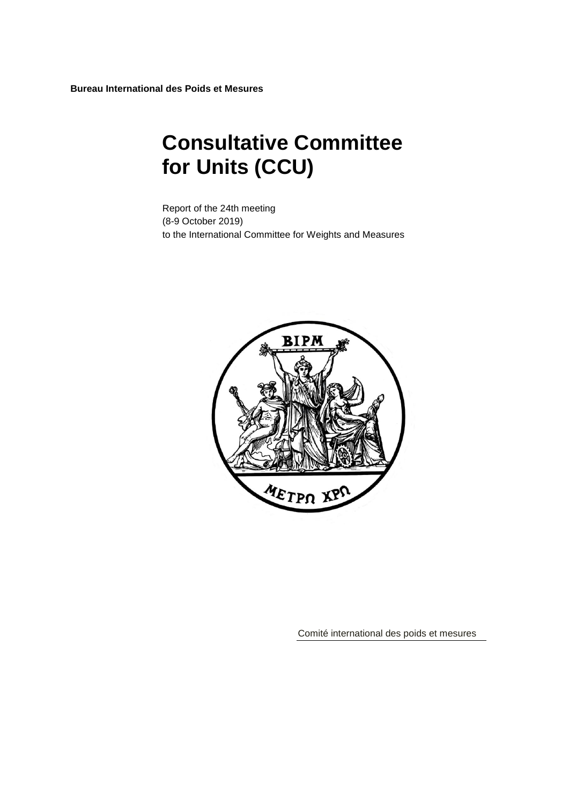**Bureau International des Poids et Mesures**

# **Consultative Committee for Units (CCU)**

Report of the 24th meeting (8-9 October 2019) to the International Committee for Weights and Measures



Comité international des poids et mesures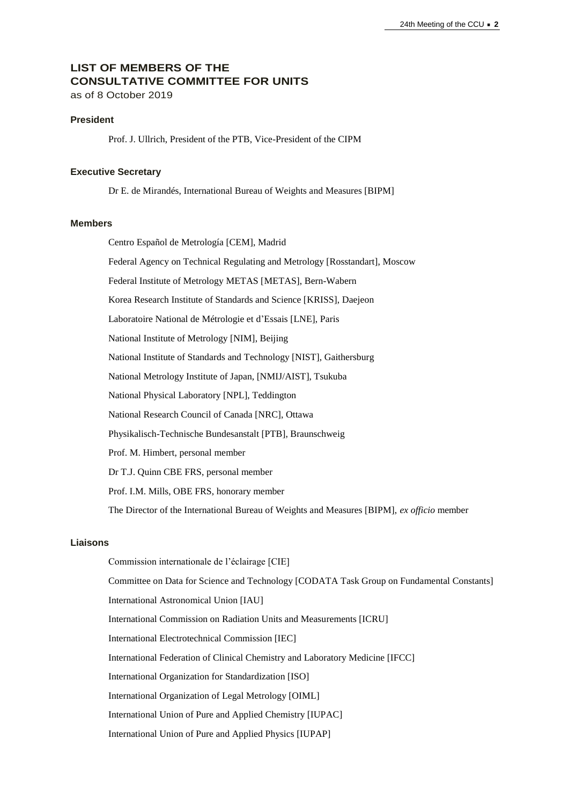# **LIST OF MEMBERS OF THE CONSULTATIVE COMMITTEE FOR UNITS** as of 8 October 2019

# **President**

Prof. J. Ullrich, President of the PTB, Vice-President of the CIPM

#### **Executive Secretary**

Dr E. de Mirandés, International Bureau of Weights and Measures [BIPM]

#### **Members**

Centro Español de Metrología [CEM], Madrid

Federal Agency on Technical Regulating and Metrology [Rosstandart], Moscow

Federal Institute of Metrology METAS [\[METAS\]](http://www.metas.ch/), Bern-Wabern

Korea Research Institute of Standards and Science [\[KRISS\]](http://www.kriss.re.kr/), Daejeon

Laboratoire National de Métrologie et d'Essais [\[LNE\]](http://www.kriss.re.kr/), Paris

National Institute of Metrology [NIM], Beijing

National Institute of Standards and Technology [NIST], Gaithersburg

National Metrology Institute of Japan, [NMIJ/AIST], Tsukuba

National Physical Laboratory [NPL], Teddington

National Research Council of Canada [\[NRC\]](http://www.nrc-cnrc.gc.ca/eng/rd/mss/index.html), Ottawa

Physikalisch-Technische Bundesanstalt [PTB], Braunschweig

Prof. M. Himbert, personal member

Dr T.J. Quinn CBE FRS, personal member

Prof. I.M. Mills, OBE FRS, honorary member

The Director of the International Bureau of Weights and Measures [BIPM], *ex officio* member

## **Liaisons**

Commission internationale de l'éclairage [CIE] Committee on Data for Science and Technology [CODATA Task Group on Fundamental Constants] International Astronomical Union [IAU] International Commission on Radiation Units and Measurements [ICRU] International Electrotechnical Commission [IEC] International Federation of Clinical Chemistry and Laboratory Medicine [IFCC] International Organization for Standardization [ISO] International Organization of Legal Metrology [OIML] International Union of Pure and Applied Chemistry [IUPAC] International Union of Pure and Applied Physics [IUPAP]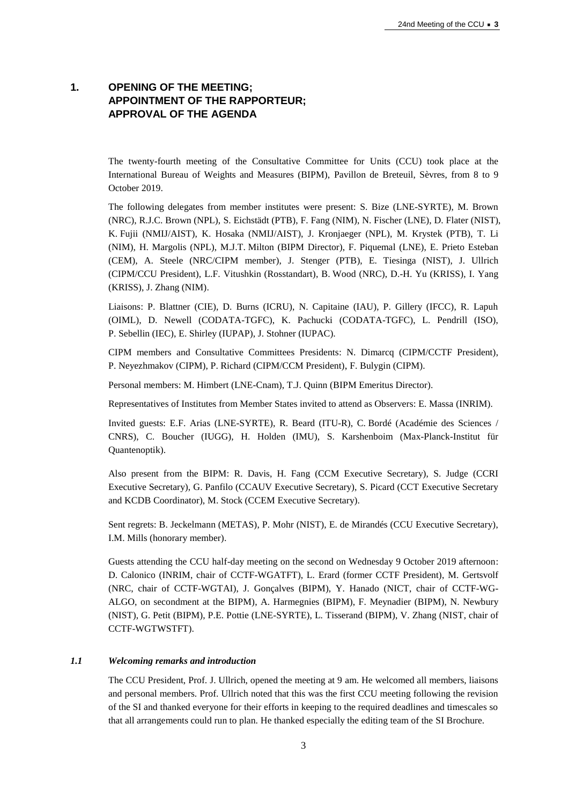# **1. OPENING OF THE MEETING; APPOINTMENT OF THE RAPPORTEUR; APPROVAL OF THE AGENDA**

The twenty-fourth meeting of the Consultative Committee for Units (CCU) took place at the International Bureau of Weights and Measures (BIPM), Pavillon de Breteuil, Sèvres, from 8 to 9 October 2019.

The following delegates from member institutes were present: S. Bize (LNE-SYRTE), M. Brown (NRC), R.J.C. Brown (NPL), S. Eichstädt (PTB), F. Fang (NIM), N. Fischer (LNE), D. Flater (NIST), K. Fujii (NMIJ/AIST), K. Hosaka (NMIJ/AIST), J. Kronjaeger (NPL), M. Krystek (PTB), T. Li (NIM), H. Margolis (NPL), M.J.T. Milton (BIPM Director), F. Piquemal (LNE), E. Prieto Esteban (CEM), A. Steele (NRC/CIPM member), J. Stenger (PTB), E. Tiesinga (NIST), J. Ullrich (CIPM/CCU President), L.F. Vitushkin (Rosstandart), B. Wood (NRC), D.-H. Yu (KRISS), I. Yang (KRISS), J. Zhang (NIM).

Liaisons: P. Blattner (CIE), D. Burns (ICRU), N. Capitaine (IAU), P. Gillery (IFCC), R. Lapuh (OIML), D. Newell (CODATA-TGFC), K. Pachucki (CODATA-TGFC), L. Pendrill (ISO), P. Sebellin (IEC), E. Shirley (IUPAP), J. Stohner (IUPAC).

CIPM members and Consultative Committees Presidents: N. Dimarcq (CIPM/CCTF President), P. Neyezhmakov (CIPM), P. Richard (CIPM/CCM President), F. Bulygin (CIPM).

Personal members: M. Himbert (LNE-Cnam), T.J. Quinn (BIPM Emeritus Director).

Representatives of Institutes from Member States invited to attend as Observers: E. Massa (INRIM).

Invited guests: E.F. Arias (LNE-SYRTE), R. Beard (ITU-R), C. Bordé (Académie des Sciences / CNRS), C. Boucher (IUGG), H. Holden (IMU), S. Karshenboim (Max-Planck-Institut für Quantenoptik).

Also present from the BIPM: R. Davis, H. Fang (CCM Executive Secretary), S. Judge (CCRI Executive Secretary), G. Panfilo (CCAUV Executive Secretary), S. Picard (CCT Executive Secretary and KCDB Coordinator), M. Stock (CCEM Executive Secretary).

Sent regrets: B. Jeckelmann (METAS), P. Mohr (NIST), E. de Mirandés (CCU Executive Secretary), I.M. Mills (honorary member).

Guests attending the CCU half-day meeting on the second on Wednesday 9 October 2019 afternoon: D. Calonico (INRIM, chair of CCTF-WGATFT), L. Erard (former CCTF President), M. Gertsvolf (NRC, chair of CCTF-WGTAI), J. Gonçalves (BIPM), Y. Hanado (NICT, chair of CCTF-WG-ALGO, on secondment at the BIPM), A. Harmegnies (BIPM), F. Meynadier (BIPM), N. Newbury (NIST), G. Petit (BIPM), P.E. Pottie (LNE-SYRTE), L. Tisserand (BIPM), V. Zhang (NIST, chair of CCTF-WGTWSTFT).

#### *1.1 Welcoming remarks and introduction*

The CCU President, Prof. J. Ullrich, opened the meeting at 9 am. He welcomed all members, liaisons and personal members. Prof. Ullrich noted that this was the first CCU meeting following the revision of the SI and thanked everyone for their efforts in keeping to the required deadlines and timescales so that all arrangements could run to plan. He thanked especially the editing team of the SI Brochure.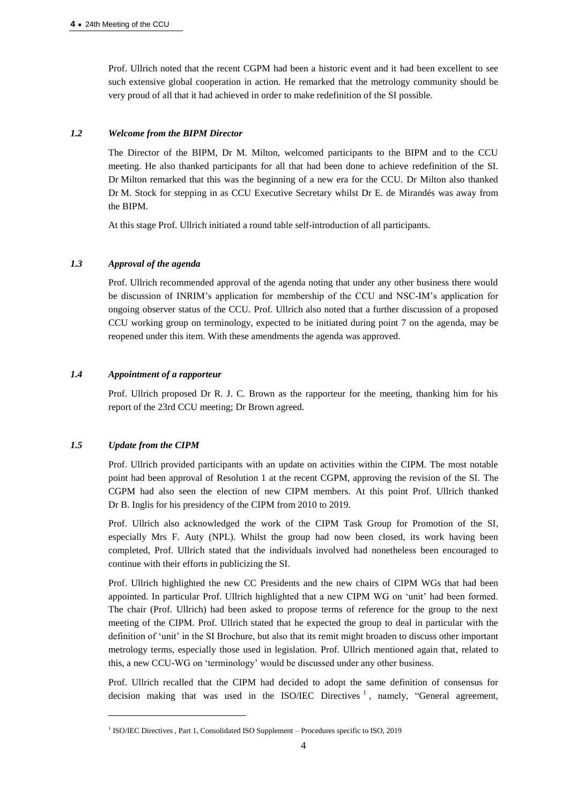Prof. Ullrich noted that the recent CGPM had been a historic event and it had been excellent to see such extensive global cooperation in action. He remarked that the metrology community should be very proud of all that it had achieved in order to make redefinition of the SI possible.

#### *1.2 Welcome from the BIPM Director*

The Director of the BIPM, Dr M. Milton, welcomed participants to the BIPM and to the CCU meeting. He also thanked participants for all that had been done to achieve redefinition of the SI. Dr Milton remarked that this was the beginning of a new era for the CCU. Dr Milton also thanked Dr M. Stock for stepping in as CCU Executive Secretary whilst Dr E. de Mirandés was away from the BIPM.

At this stage Prof. Ullrich initiated a round table self-introduction of all participants.

#### *1.3 Approval of the agenda*

Prof. Ullrich recommended approval of the agenda noting that under any other business there would be discussion of INRIM's application for membership of the CCU and NSC-IM's application for ongoing observer status of the CCU. Prof. Ullrich also noted that a further discussion of a proposed CCU working group on terminology, expected to be initiated during point 7 on the agenda, may be reopened under this item. With these amendments the agenda was approved.

### *1.4 Appointment of a rapporteur*

Prof. Ullrich proposed Dr R. J. C. Brown as the rapporteur for the meeting, thanking him for his report of the 23rd CCU meeting; Dr Brown agreed.

## *1.5 Update from the CIPM*

 $\overline{a}$ 

Prof. Ullrich provided participants with an update on activities within the CIPM. The most notable point had been approval of Resolution 1 at the recent CGPM, approving the revision of the SI. The CGPM had also seen the election of new CIPM members. At this point Prof. Ullrich thanked Dr B. Inglis for his presidency of the CIPM from 2010 to 2019.

Prof. Ullrich also acknowledged the work of the CIPM Task Group for Promotion of the SI, especially Mrs F. Auty (NPL). Whilst the group had now been closed, its work having been completed, Prof. Ullrich stated that the individuals involved had nonetheless been encouraged to continue with their efforts in publicizing the SI.

Prof. Ullrich highlighted the new CC Presidents and the new chairs of CIPM WGs that had been appointed. In particular Prof. Ullrich highlighted that a new CIPM WG on 'unit' had been formed. The chair (Prof. Ullrich) had been asked to propose terms of reference for the group to the next meeting of the CIPM. Prof. Ullrich stated that he expected the group to deal in particular with the definition of 'unit' in the SI Brochure, but also that its remit might broaden to discuss other important metrology terms, especially those used in legislation. Prof. Ullrich mentioned again that, related to this, a new CCU-WG on 'terminology' would be discussed under any other business.

Prof. Ullrich recalled that the CIPM had decided to adopt the same definition of consensus for decision making that was used in the ISO/IEC Directives  $\frac{1}{1}$ , namely, "General agreement,

<sup>&</sup>lt;sup>1</sup> ISO/IEC Directives , Part 1, Consolidated ISO Supplement – Procedures specific to ISO, 2019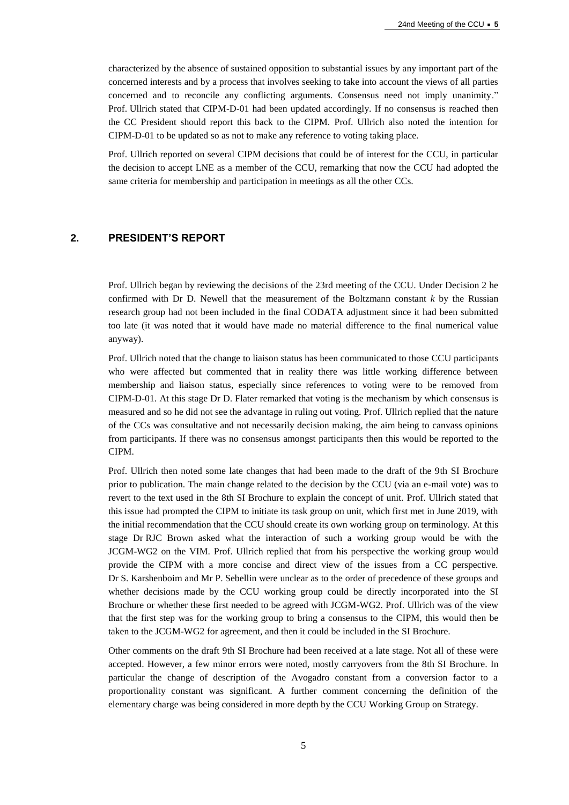characterized by the absence of sustained opposition to substantial issues by any important part of the concerned interests and by a process that involves seeking to take into account the views of all parties concerned and to reconcile any conflicting arguments. Consensus need not imply unanimity." Prof. Ullrich stated that CIPM-D-01 had been updated accordingly. If no consensus is reached then the CC President should report this back to the CIPM. Prof. Ullrich also noted the intention for CIPM-D-01 to be updated so as not to make any reference to voting taking place.

Prof. Ullrich reported on several CIPM decisions that could be of interest for the CCU, in particular the decision to accept LNE as a member of the CCU, remarking that now the CCU had adopted the same criteria for membership and participation in meetings as all the other CCs.

## **2. PRESIDENT'S REPORT**

Prof. Ullrich began by reviewing the decisions of the 23rd meeting of the CCU. Under Decision 2 he confirmed with Dr D. Newell that the measurement of the Boltzmann constant *k* by the Russian research group had not been included in the final CODATA adjustment since it had been submitted too late (it was noted that it would have made no material difference to the final numerical value anyway).

Prof. Ullrich noted that the change to liaison status has been communicated to those CCU participants who were affected but commented that in reality there was little working difference between membership and liaison status, especially since references to voting were to be removed from CIPM-D-01. At this stage Dr D. Flater remarked that voting is the mechanism by which consensus is measured and so he did not see the advantage in ruling out voting. Prof. Ullrich replied that the nature of the CCs was consultative and not necessarily decision making, the aim being to canvass opinions from participants. If there was no consensus amongst participants then this would be reported to the CIPM.

Prof. Ullrich then noted some late changes that had been made to the draft of the 9th SI Brochure prior to publication. The main change related to the decision by the CCU (via an e-mail vote) was to revert to the text used in the 8th SI Brochure to explain the concept of unit. Prof. Ullrich stated that this issue had prompted the CIPM to initiate its task group on unit, which first met in June 2019, with the initial recommendation that the CCU should create its own working group on terminology. At this stage Dr RJC Brown asked what the interaction of such a working group would be with the JCGM-WG2 on the VIM. Prof. Ullrich replied that from his perspective the working group would provide the CIPM with a more concise and direct view of the issues from a CC perspective. Dr S. Karshenboim and Mr P. Sebellin were unclear as to the order of precedence of these groups and whether decisions made by the CCU working group could be directly incorporated into the SI Brochure or whether these first needed to be agreed with JCGM-WG2. Prof. Ullrich was of the view that the first step was for the working group to bring a consensus to the CIPM, this would then be taken to the JCGM-WG2 for agreement, and then it could be included in the SI Brochure.

Other comments on the draft 9th SI Brochure had been received at a late stage. Not all of these were accepted. However, a few minor errors were noted, mostly carryovers from the 8th SI Brochure. In particular the change of description of the Avogadro constant from a conversion factor to a proportionality constant was significant. A further comment concerning the definition of the elementary charge was being considered in more depth by the CCU Working Group on Strategy.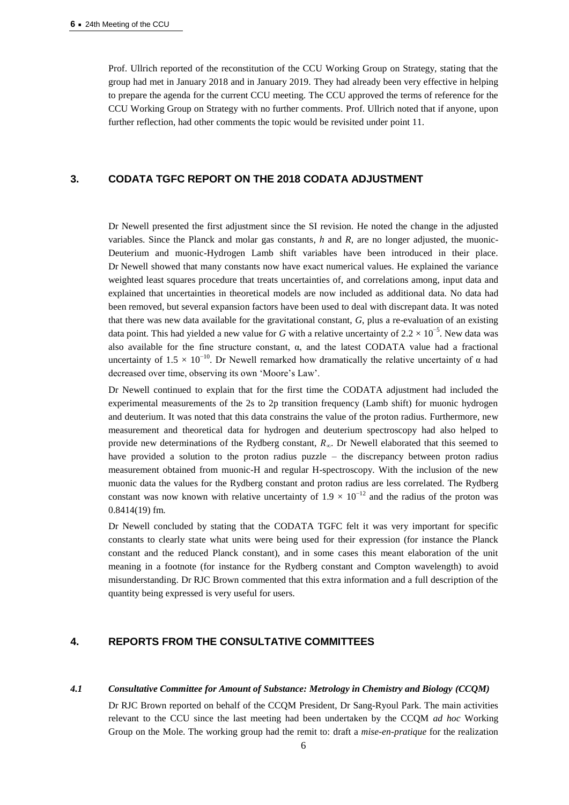Prof. Ullrich reported of the reconstitution of the CCU Working Group on Strategy, stating that the group had met in January 2018 and in January 2019. They had already been very effective in helping to prepare the agenda for the current CCU meeting. The CCU approved the terms of reference for the CCU Working Group on Strategy with no further comments. Prof. Ullrich noted that if anyone, upon further reflection, had other comments the topic would be revisited under point 11.

#### **3. CODATA TGFC REPORT ON THE 2018 CODATA ADJUSTMENT**

Dr Newell presented the first adjustment since the SI revision. He noted the change in the adjusted variables. Since the Planck and molar gas constants, *h* and *R*, are no longer adjusted, the muonic-Deuterium and muonic-Hydrogen Lamb shift variables have been introduced in their place. Dr Newell showed that many constants now have exact numerical values. He explained the variance weighted least squares procedure that treats uncertainties of, and correlations among, input data and explained that uncertainties in theoretical models are now included as additional data. No data had been removed, but several expansion factors have been used to deal with discrepant data. It was noted that there was new data available for the gravitational constant, *G*, plus a re-evaluation of an existing data point. This had yielded a new value for *G* with a relative uncertainty of  $2.2 \times 10^{-5}$ . New data was also available for the fine structure constant, α, and the latest CODATA value had a fractional uncertainty of 1.5  $\times$  10<sup>-10</sup>. Dr Newell remarked how dramatically the relative uncertainty of  $\alpha$  had decreased over time, observing its own 'Moore's Law'.

Dr Newell continued to explain that for the first time the CODATA adjustment had included the experimental measurements of the 2s to 2p transition frequency (Lamb shift) for muonic hydrogen and deuterium. It was noted that this data constrains the value of the proton radius. Furthermore, new measurement and theoretical data for hydrogen and deuterium spectroscopy had also helped to provide new determinations of the Rydberg constant,  $R_{\infty}$ . Dr Newell elaborated that this seemed to have provided a solution to the proton radius puzzle – the discrepancy between proton radius measurement obtained from muonic-H and regular H-spectroscopy. With the inclusion of the new muonic data the values for the Rydberg constant and proton radius are less correlated. The Rydberg constant was now known with relative uncertainty of  $1.9 \times 10^{-12}$  and the radius of the proton was 0.8414(19) fm.

Dr Newell concluded by stating that the CODATA TGFC felt it was very important for specific constants to clearly state what units were being used for their expression (for instance the Planck constant and the reduced Planck constant), and in some cases this meant elaboration of the unit meaning in a footnote (for instance for the Rydberg constant and Compton wavelength) to avoid misunderstanding. Dr RJC Brown commented that this extra information and a full description of the quantity being expressed is very useful for users.

## **4. REPORTS FROM THE CONSULTATIVE COMMITTEES**

#### *4.1 Consultative Committee for Amount of Substance: Metrology in Chemistry and Biology (CCQM)*

Dr RJC Brown reported on behalf of the CCQM President, Dr Sang-Ryoul Park. The main activities relevant to the CCU since the last meeting had been undertaken by the CCQM *ad hoc* Working Group on the Mole. The working group had the remit to: draft a *mise-en-pratique* for the realization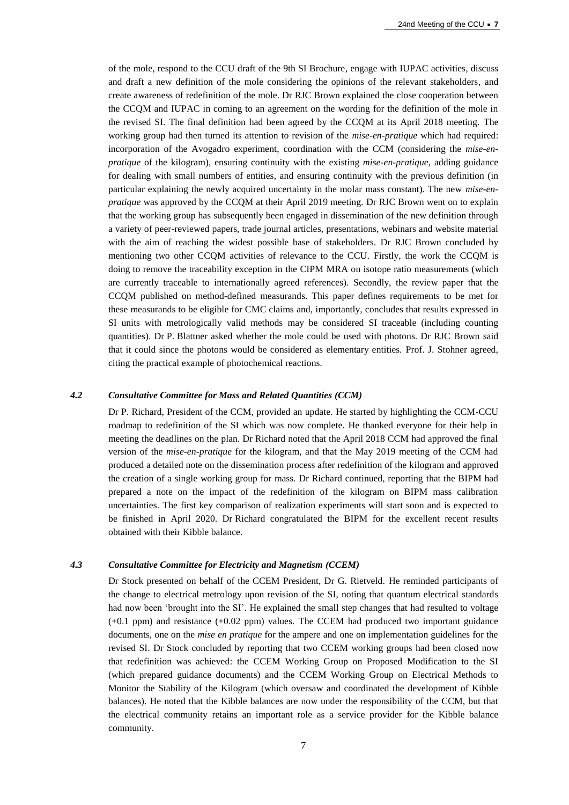of the mole, respond to the CCU draft of the 9th SI Brochure, engage with IUPAC activities, discuss and draft a new definition of the mole considering the opinions of the relevant stakeholders, and create awareness of redefinition of the mole. Dr RJC Brown explained the close cooperation between the CCQM and IUPAC in coming to an agreement on the wording for the definition of the mole in the revised SI. The final definition had been agreed by the CCQM at its April 2018 meeting. The working group had then turned its attention to revision of the *mise-en-pratique* which had required: incorporation of the Avogadro experiment, coordination with the CCM (considering the *mise-enpratique* of the kilogram), ensuring continuity with the existing *mise-en-pratique*, adding guidance for dealing with small numbers of entities, and ensuring continuity with the previous definition (in particular explaining the newly acquired uncertainty in the molar mass constant). The new *mise-enpratique* was approved by the CCQM at their April 2019 meeting. Dr RJC Brown went on to explain that the working group has subsequently been engaged in dissemination of the new definition through a variety of peer-reviewed papers, trade journal articles, presentations, webinars and website material with the aim of reaching the widest possible base of stakeholders. Dr RJC Brown concluded by mentioning two other CCQM activities of relevance to the CCU. Firstly, the work the CCQM is doing to remove the traceability exception in the CIPM MRA on isotope ratio measurements (which are currently traceable to internationally agreed references). Secondly, the review paper that the CCQM published on method-defined measurands. This paper defines requirements to be met for these measurands to be eligible for CMC claims and, importantly, concludes that results expressed in SI units with metrologically valid methods may be considered SI traceable (including counting quantities). Dr P. Blattner asked whether the mole could be used with photons. Dr RJC Brown said that it could since the photons would be considered as elementary entities. Prof. J. Stohner agreed, citing the practical example of photochemical reactions.

#### *4.2 Consultative Committee for Mass and Related Quantities (CCM)*

Dr P. Richard, President of the CCM, provided an update. He started by highlighting the CCM-CCU roadmap to redefinition of the SI which was now complete. He thanked everyone for their help in meeting the deadlines on the plan. Dr Richard noted that the April 2018 CCM had approved the final version of the *mise-en-pratique* for the kilogram, and that the May 2019 meeting of the CCM had produced a detailed note on the dissemination process after redefinition of the kilogram and approved the creation of a single working group for mass. Dr Richard continued, reporting that the BIPM had prepared a note on the impact of the redefinition of the kilogram on BIPM mass calibration uncertainties. The first key comparison of realization experiments will start soon and is expected to be finished in April 2020. Dr Richard congratulated the BIPM for the excellent recent results obtained with their Kibble balance.

#### *4.3 Consultative Committee for Electricity and Magnetism (CCEM)*

Dr Stock presented on behalf of the CCEM President, Dr G. Rietveld. He reminded participants of the change to electrical metrology upon revision of the SI, noting that quantum electrical standards had now been 'brought into the SI'. He explained the small step changes that had resulted to voltage (+0.1 ppm) and resistance (+0.02 ppm) values. The CCEM had produced two important guidance documents, one on the *mise en pratique* for the ampere and one on implementation guidelines for the revised SI. Dr Stock concluded by reporting that two CCEM working groups had been closed now that redefinition was achieved: the CCEM Working Group on Proposed Modification to the SI (which prepared guidance documents) and the CCEM Working Group on Electrical Methods to Monitor the Stability of the Kilogram (which oversaw and coordinated the development of Kibble balances). He noted that the Kibble balances are now under the responsibility of the CCM, but that the electrical community retains an important role as a service provider for the Kibble balance community.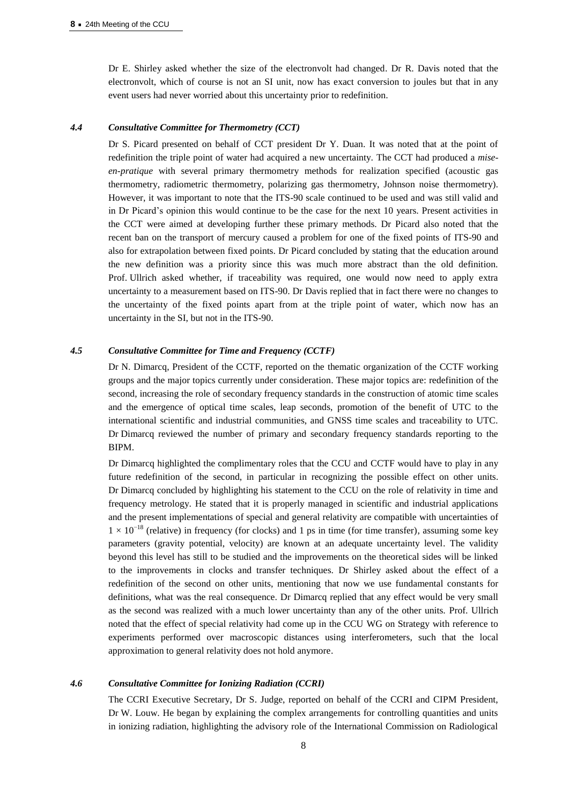Dr E. Shirley asked whether the size of the electronvolt had changed. Dr R. Davis noted that the electronvolt, which of course is not an SI unit, now has exact conversion to joules but that in any event users had never worried about this uncertainty prior to redefinition.

#### *4.4 Consultative Committee for Thermometry (CCT)*

Dr S. Picard presented on behalf of CCT president Dr Y. Duan. It was noted that at the point of redefinition the triple point of water had acquired a new uncertainty. The CCT had produced a *miseen-pratique* with several primary thermometry methods for realization specified (acoustic gas thermometry, radiometric thermometry, polarizing gas thermometry, Johnson noise thermometry). However, it was important to note that the ITS-90 scale continued to be used and was still valid and in Dr Picard's opinion this would continue to be the case for the next 10 years. Present activities in the CCT were aimed at developing further these primary methods. Dr Picard also noted that the recent ban on the transport of mercury caused a problem for one of the fixed points of ITS-90 and also for extrapolation between fixed points. Dr Picard concluded by stating that the education around the new definition was a priority since this was much more abstract than the old definition. Prof. Ullrich asked whether, if traceability was required, one would now need to apply extra uncertainty to a measurement based on ITS-90. Dr Davis replied that in fact there were no changes to the uncertainty of the fixed points apart from at the triple point of water, which now has an uncertainty in the SI, but not in the ITS-90.

#### *4.5 Consultative Committee for Time and Frequency (CCTF)*

Dr N. Dimarcq, President of the CCTF, reported on the thematic organization of the CCTF working groups and the major topics currently under consideration. These major topics are: redefinition of the second, increasing the role of secondary frequency standards in the construction of atomic time scales and the emergence of optical time scales, leap seconds, promotion of the benefit of UTC to the international scientific and industrial communities, and GNSS time scales and traceability to UTC. Dr Dimarcq reviewed the number of primary and secondary frequency standards reporting to the BIPM.

Dr Dimarcq highlighted the complimentary roles that the CCU and CCTF would have to play in any future redefinition of the second, in particular in recognizing the possible effect on other units. Dr Dimarcq concluded by highlighting his statement to the CCU on the role of relativity in time and frequency metrology. He stated that it is properly managed in scientific and industrial applications and the present implementations of special and general relativity are compatible with uncertainties of  $1 \times 10^{-18}$  (relative) in frequency (for clocks) and 1 ps in time (for time transfer), assuming some key parameters (gravity potential, velocity) are known at an adequate uncertainty level. The validity beyond this level has still to be studied and the improvements on the theoretical sides will be linked to the improvements in clocks and transfer techniques. Dr Shirley asked about the effect of a redefinition of the second on other units, mentioning that now we use fundamental constants for definitions, what was the real consequence. Dr Dimarcq replied that any effect would be very small as the second was realized with a much lower uncertainty than any of the other units. Prof. Ullrich noted that the effect of special relativity had come up in the CCU WG on Strategy with reference to experiments performed over macroscopic distances using interferometers, such that the local approximation to general relativity does not hold anymore.

#### *4.6 Consultative Committee for Ionizing Radiation (CCRI)*

The CCRI Executive Secretary, Dr S. Judge, reported on behalf of the CCRI and CIPM President, Dr W. Louw. He began by explaining the complex arrangements for controlling quantities and units in ionizing radiation, highlighting the advisory role of the International Commission on Radiological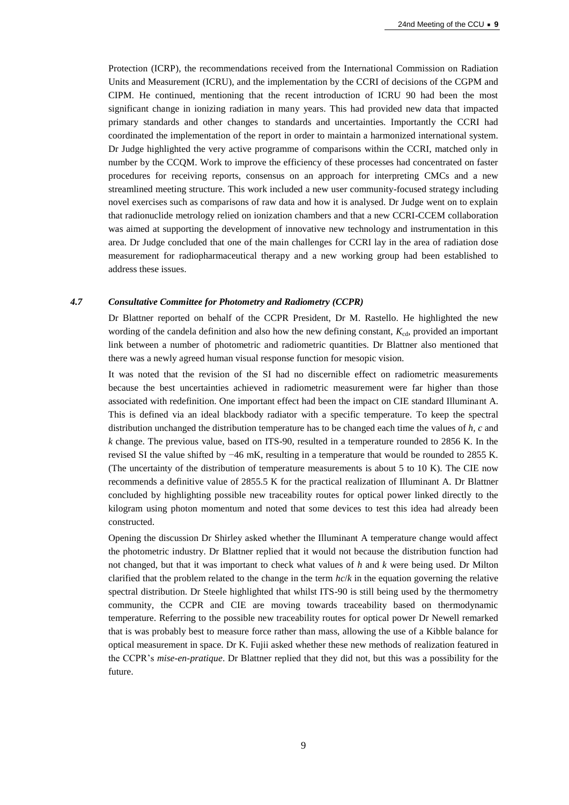Protection (ICRP), the recommendations received from the International Commission on Radiation Units and Measurement (ICRU), and the implementation by the CCRI of decisions of the CGPM and CIPM. He continued, mentioning that the recent introduction of ICRU 90 had been the most significant change in ionizing radiation in many years. This had provided new data that impacted primary standards and other changes to standards and uncertainties. Importantly the CCRI had coordinated the implementation of the report in order to maintain a harmonized international system. Dr Judge highlighted the very active programme of comparisons within the CCRI, matched only in number by the CCQM. Work to improve the efficiency of these processes had concentrated on faster procedures for receiving reports, consensus on an approach for interpreting CMCs and a new streamlined meeting structure. This work included a new user community-focused strategy including novel exercises such as comparisons of raw data and how it is analysed. Dr Judge went on to explain that radionuclide metrology relied on ionization chambers and that a new CCRI-CCEM collaboration was aimed at supporting the development of innovative new technology and instrumentation in this area. Dr Judge concluded that one of the main challenges for CCRI lay in the area of radiation dose measurement for radiopharmaceutical therapy and a new working group had been established to address these issues.

## *4.7 Consultative Committee for Photometry and Radiometry (CCPR)*

Dr Blattner reported on behalf of the CCPR President, Dr M. Rastello. He highlighted the new wording of the candela definition and also how the new defining constant,  $K_{cd}$ , provided an important link between a number of photometric and radiometric quantities. Dr Blattner also mentioned that there was a newly agreed human visual response function for mesopic vision.

It was noted that the revision of the SI had no discernible effect on radiometric measurements because the best uncertainties achieved in radiometric measurement were far higher than those associated with redefinition. One important effect had been the impact on CIE standard Illuminant A. This is defined via an ideal blackbody radiator with a specific temperature. To keep the spectral distribution unchanged the distribution temperature has to be changed each time the values of *h*, *c* and *k* change. The previous value, based on ITS-90, resulted in a temperature rounded to 2856 K. In the revised SI the value shifted by −46 mK, resulting in a temperature that would be rounded to 2855 K. (The uncertainty of the distribution of temperature measurements is about 5 to 10 K). The CIE now recommends a definitive value of 2855.5 K for the practical realization of Illuminant A. Dr Blattner concluded by highlighting possible new traceability routes for optical power linked directly to the kilogram using photon momentum and noted that some devices to test this idea had already been constructed.

Opening the discussion Dr Shirley asked whether the Illuminant A temperature change would affect the photometric industry. Dr Blattner replied that it would not because the distribution function had not changed, but that it was important to check what values of *h* and *k* were being used. Dr Milton clarified that the problem related to the change in the term *hc*/*k* in the equation governing the relative spectral distribution. Dr Steele highlighted that whilst ITS-90 is still being used by the thermometry community, the CCPR and CIE are moving towards traceability based on thermodynamic temperature. Referring to the possible new traceability routes for optical power Dr Newell remarked that is was probably best to measure force rather than mass, allowing the use of a Kibble balance for optical measurement in space. Dr K. Fujii asked whether these new methods of realization featured in the CCPR's *mise-en-pratique*. Dr Blattner replied that they did not, but this was a possibility for the future.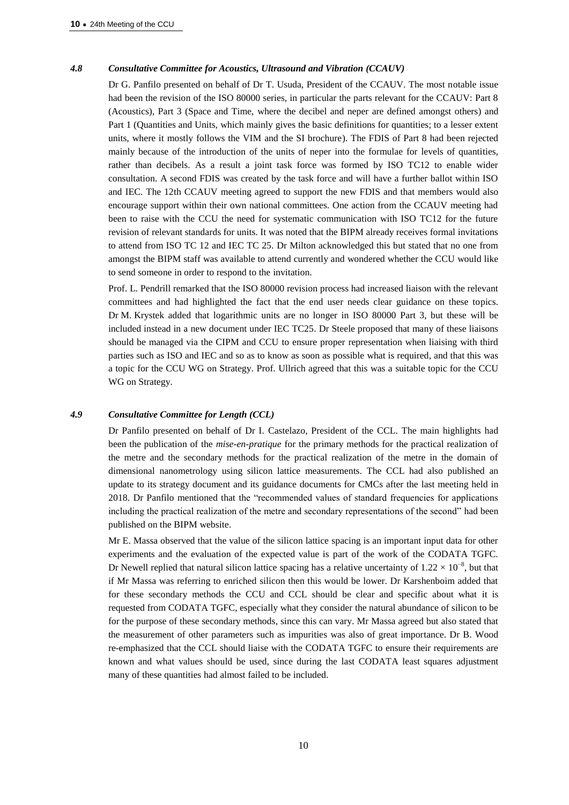## *4.8 Consultative Committee for Acoustics, Ultrasound and Vibration (CCAUV)*

Dr G. Panfilo presented on behalf of Dr T. Usuda, President of the CCAUV. The most notable issue had been the revision of the ISO 80000 series, in particular the parts relevant for the CCAUV: Part 8 (Acoustics), Part 3 (Space and Time, where the decibel and neper are defined amongst others) and Part 1 (Quantities and Units, which mainly gives the basic definitions for quantities; to a lesser extent units, where it mostly follows the VIM and the SI brochure). The FDIS of Part 8 had been rejected mainly because of the introduction of the units of neper into the formulae for levels of quantities, rather than decibels. As a result a joint task force was formed by ISO TC12 to enable wider consultation. A second FDIS was created by the task force and will have a further ballot within ISO and IEC. The 12th CCAUV meeting agreed to support the new FDIS and that members would also encourage support within their own national committees. One action from the CCAUV meeting had been to raise with the CCU the need for systematic communication with ISO TC12 for the future revision of relevant standards for units. It was noted that the BIPM already receives formal invitations to attend from ISO TC 12 and IEC TC 25. Dr Milton acknowledged this but stated that no one from amongst the BIPM staff was available to attend currently and wondered whether the CCU would like to send someone in order to respond to the invitation.

Prof. L. Pendrill remarked that the ISO 80000 revision process had increased liaison with the relevant committees and had highlighted the fact that the end user needs clear guidance on these topics. Dr M. Krystek added that logarithmic units are no longer in ISO 80000 Part 3, but these will be included instead in a new document under IEC TC25. Dr Steele proposed that many of these liaisons should be managed via the CIPM and CCU to ensure proper representation when liaising with third parties such as ISO and IEC and so as to know as soon as possible what is required, and that this was a topic for the CCU WG on Strategy. Prof. Ullrich agreed that this was a suitable topic for the CCU WG on Strategy.

#### *4.9 Consultative Committee for Length (CCL)*

Dr Panfilo presented on behalf of Dr I. Castelazo, President of the CCL. The main highlights had been the publication of the *mise-en-pratique* for the primary methods for the practical realization of the metre and the secondary methods for the practical realization of the metre in the domain of dimensional nanometrology using silicon lattice measurements. The CCL had also published an update to its strategy document and its guidance documents for CMCs after the last meeting held in 2018. Dr Panfilo mentioned that the "recommended values of standard frequencies for applications including the practical realization of the metre and secondary representations of the second" had been published on the BIPM website.

Mr E. Massa observed that the value of the silicon lattice spacing is an important input data for other experiments and the evaluation of the expected value is part of the work of the CODATA TGFC. Dr Newell replied that natural silicon lattice spacing has a relative uncertainty of  $1.22 \times 10^{-8}$ , but that if Mr Massa was referring to enriched silicon then this would be lower. Dr Karshenboim added that for these secondary methods the CCU and CCL should be clear and specific about what it is requested from CODATA TGFC, especially what they consider the natural abundance of silicon to be for the purpose of these secondary methods, since this can vary. Mr Massa agreed but also stated that the measurement of other parameters such as impurities was also of great importance. Dr B. Wood re-emphasized that the CCL should liaise with the CODATA TGFC to ensure their requirements are known and what values should be used, since during the last CODATA least squares adjustment many of these quantities had almost failed to be included.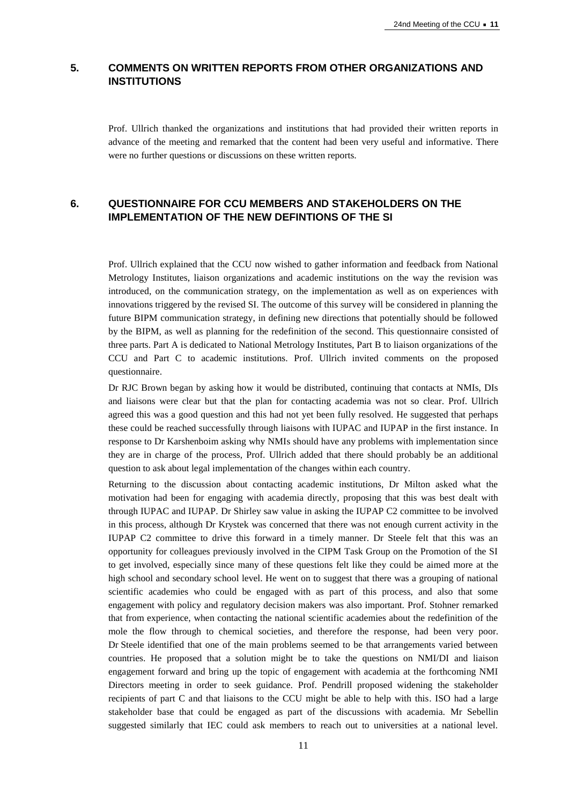# **5. COMMENTS ON WRITTEN REPORTS FROM OTHER ORGANIZATIONS AND INSTITUTIONS**

Prof. Ullrich thanked the organizations and institutions that had provided their written reports in advance of the meeting and remarked that the content had been very useful and informative. There were no further questions or discussions on these written reports.

# **6. QUESTIONNAIRE FOR CCU MEMBERS AND STAKEHOLDERS ON THE IMPLEMENTATION OF THE NEW DEFINTIONS OF THE SI**

Prof. Ullrich explained that the CCU now wished to gather information and feedback from National Metrology Institutes, liaison organizations and academic institutions on the way the revision was introduced, on the communication strategy, on the implementation as well as on experiences with innovations triggered by the revised SI. The outcome of this survey will be considered in planning the future BIPM communication strategy, in defining new directions that potentially should be followed by the BIPM, as well as planning for the redefinition of the second. This questionnaire consisted of three parts. Part A is dedicated to National Metrology Institutes, Part B to liaison organizations of the CCU and Part C to academic institutions. Prof. Ullrich invited comments on the proposed questionnaire.

Dr RJC Brown began by asking how it would be distributed, continuing that contacts at NMIs, DIs and liaisons were clear but that the plan for contacting academia was not so clear. Prof. Ullrich agreed this was a good question and this had not yet been fully resolved. He suggested that perhaps these could be reached successfully through liaisons with IUPAC and IUPAP in the first instance. In response to Dr Karshenboim asking why NMIs should have any problems with implementation since they are in charge of the process, Prof. Ullrich added that there should probably be an additional question to ask about legal implementation of the changes within each country.

Returning to the discussion about contacting academic institutions, Dr Milton asked what the motivation had been for engaging with academia directly, proposing that this was best dealt with through IUPAC and IUPAP. Dr Shirley saw value in asking the IUPAP C2 committee to be involved in this process, although Dr Krystek was concerned that there was not enough current activity in the IUPAP C2 committee to drive this forward in a timely manner. Dr Steele felt that this was an opportunity for colleagues previously involved in the CIPM Task Group on the Promotion of the SI to get involved, especially since many of these questions felt like they could be aimed more at the high school and secondary school level. He went on to suggest that there was a grouping of national scientific academies who could be engaged with as part of this process, and also that some engagement with policy and regulatory decision makers was also important. Prof. Stohner remarked that from experience, when contacting the national scientific academies about the redefinition of the mole the flow through to chemical societies, and therefore the response, had been very poor. Dr Steele identified that one of the main problems seemed to be that arrangements varied between countries. He proposed that a solution might be to take the questions on NMI/DI and liaison engagement forward and bring up the topic of engagement with academia at the forthcoming NMI Directors meeting in order to seek guidance. Prof. Pendrill proposed widening the stakeholder recipients of part C and that liaisons to the CCU might be able to help with this. ISO had a large stakeholder base that could be engaged as part of the discussions with academia. Mr Sebellin suggested similarly that IEC could ask members to reach out to universities at a national level.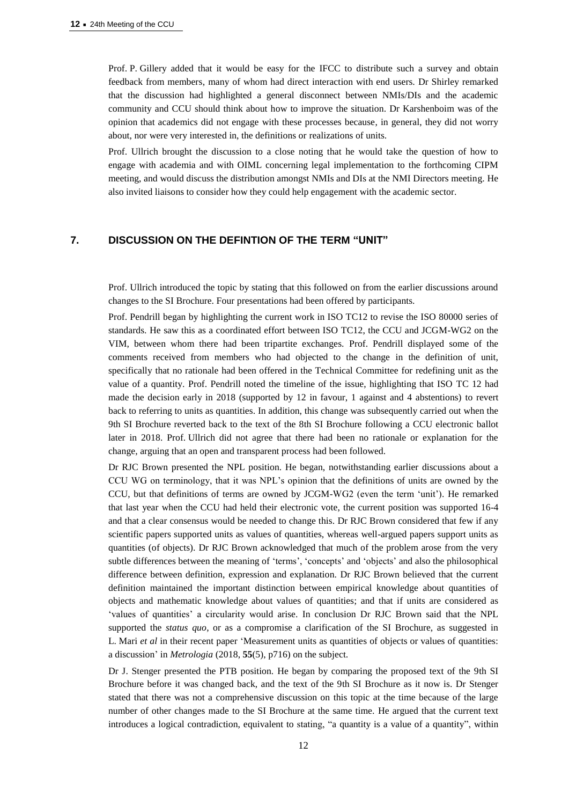Prof. P. Gillery added that it would be easy for the IFCC to distribute such a survey and obtain feedback from members, many of whom had direct interaction with end users. Dr Shirley remarked that the discussion had highlighted a general disconnect between NMIs/DIs and the academic community and CCU should think about how to improve the situation. Dr Karshenboim was of the opinion that academics did not engage with these processes because, in general, they did not worry about, nor were very interested in, the definitions or realizations of units.

Prof. Ullrich brought the discussion to a close noting that he would take the question of how to engage with academia and with OIML concerning legal implementation to the forthcoming CIPM meeting, and would discuss the distribution amongst NMIs and DIs at the NMI Directors meeting. He also invited liaisons to consider how they could help engagement with the academic sector.

## **7. DISCUSSION ON THE DEFINTION OF THE TERM "UNIT"**

Prof. Ullrich introduced the topic by stating that this followed on from the earlier discussions around changes to the SI Brochure. Four presentations had been offered by participants.

Prof. Pendrill began by highlighting the current work in ISO TC12 to revise the ISO 80000 series of standards. He saw this as a coordinated effort between ISO TC12, the CCU and JCGM-WG2 on the VIM, between whom there had been tripartite exchanges. Prof. Pendrill displayed some of the comments received from members who had objected to the change in the definition of unit, specifically that no rationale had been offered in the Technical Committee for redefining unit as the value of a quantity. Prof. Pendrill noted the timeline of the issue, highlighting that ISO TC 12 had made the decision early in 2018 (supported by 12 in favour, 1 against and 4 abstentions) to revert back to referring to units as quantities. In addition, this change was subsequently carried out when the 9th SI Brochure reverted back to the text of the 8th SI Brochure following a CCU electronic ballot later in 2018. Prof. Ullrich did not agree that there had been no rationale or explanation for the change, arguing that an open and transparent process had been followed.

Dr RJC Brown presented the NPL position. He began, notwithstanding earlier discussions about a CCU WG on terminology, that it was NPL's opinion that the definitions of units are owned by the CCU, but that definitions of terms are owned by JCGM-WG2 (even the term 'unit'). He remarked that last year when the CCU had held their electronic vote, the current position was supported 16-4 and that a clear consensus would be needed to change this. Dr RJC Brown considered that few if any scientific papers supported units as values of quantities, whereas well-argued papers support units as quantities (of objects). Dr RJC Brown acknowledged that much of the problem arose from the very subtle differences between the meaning of 'terms', 'concepts' and 'objects' and also the philosophical difference between definition, expression and explanation. Dr RJC Brown believed that the current definition maintained the important distinction between empirical knowledge about quantities of objects and mathematic knowledge about values of quantities; and that if units are considered as 'values of quantities' a circularity would arise. In conclusion Dr RJC Brown said that the NPL supported the *status quo*, or as a compromise a clarification of the SI Brochure, as suggested in L. Mari *et al* in their recent paper 'Measurement units as quantities of objects or values of quantities: a discussion' in *Metrologia* (2018, **55**(5), p716) on the subject.

Dr J. Stenger presented the PTB position. He began by comparing the proposed text of the 9th SI Brochure before it was changed back, and the text of the 9th SI Brochure as it now is. Dr Stenger stated that there was not a comprehensive discussion on this topic at the time because of the large number of other changes made to the SI Brochure at the same time. He argued that the current text introduces a logical contradiction, equivalent to stating, "a quantity is a value of a quantity", within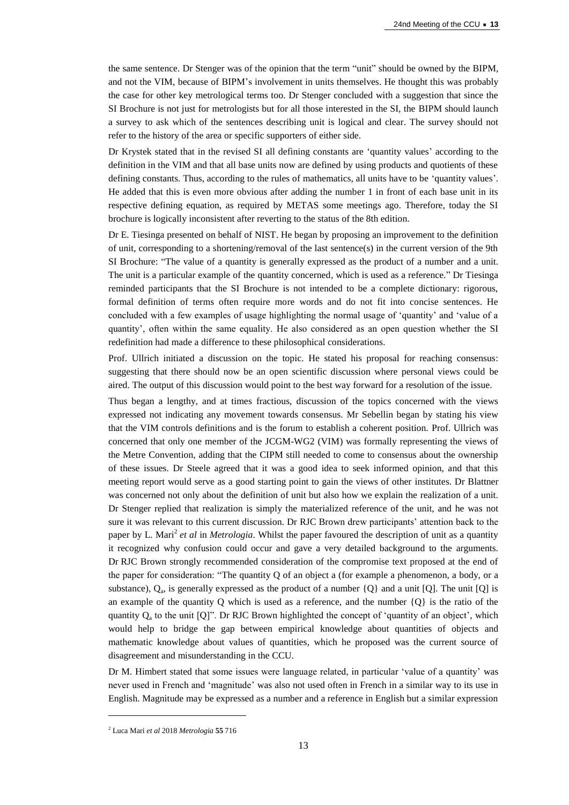the same sentence. Dr Stenger was of the opinion that the term "unit" should be owned by the BIPM, and not the VIM, because of BIPM's involvement in units themselves. He thought this was probably the case for other key metrological terms too. Dr Stenger concluded with a suggestion that since the SI Brochure is not just for metrologists but for all those interested in the SI, the BIPM should launch a survey to ask which of the sentences describing unit is logical and clear. The survey should not refer to the history of the area or specific supporters of either side.

Dr Krystek stated that in the revised SI all defining constants are 'quantity values' according to the definition in the VIM and that all base units now are defined by using products and quotients of these defining constants. Thus, according to the rules of mathematics, all units have to be 'quantity values'. He added that this is even more obvious after adding the number 1 in front of each base unit in its respective defining equation, as required by METAS some meetings ago. Therefore, today the SI brochure is logically inconsistent after reverting to the status of the 8th edition.

Dr E. Tiesinga presented on behalf of NIST. He began by proposing an improvement to the definition of unit, corresponding to a shortening/removal of the last sentence(s) in the current version of the 9th SI Brochure: "The value of a quantity is generally expressed as the product of a number and a unit. The unit is a particular example of the quantity concerned, which is used as a reference." Dr Tiesinga reminded participants that the SI Brochure is not intended to be a complete dictionary: rigorous, formal definition of terms often require more words and do not fit into concise sentences. He concluded with a few examples of usage highlighting the normal usage of 'quantity' and 'value of a quantity', often within the same equality. He also considered as an open question whether the SI redefinition had made a difference to these philosophical considerations.

Prof. Ullrich initiated a discussion on the topic. He stated his proposal for reaching consensus: suggesting that there should now be an open scientific discussion where personal views could be aired. The output of this discussion would point to the best way forward for a resolution of the issue.

Thus began a lengthy, and at times fractious, discussion of the topics concerned with the views expressed not indicating any movement towards consensus. Mr Sebellin began by stating his view that the VIM controls definitions and is the forum to establish a coherent position. Prof. Ullrich was concerned that only one member of the JCGM-WG2 (VIM) was formally representing the views of the Metre Convention, adding that the CIPM still needed to come to consensus about the ownership of these issues. Dr Steele agreed that it was a good idea to seek informed opinion, and that this meeting report would serve as a good starting point to gain the views of other institutes. Dr Blattner was concerned not only about the definition of unit but also how we explain the realization of a unit. Dr Stenger replied that realization is simply the materialized reference of the unit, and he was not sure it was relevant to this current discussion. Dr RJC Brown drew participants' attention back to the paper by L. Mari<sup>2</sup> et al in *Metrologia*. Whilst the paper favoured the description of unit as a quantity it recognized why confusion could occur and gave a very detailed background to the arguments. Dr RJC Brown strongly recommended consideration of the compromise text proposed at the end of the paper for consideration: "The quantity Q of an object a (for example a phenomenon, a body, or a substance),  $Q_a$ , is generally expressed as the product of a number  $\{Q\}$  and a unit  $[Q]$ . The unit  $[Q]$  is an example of the quantity Q which is used as a reference, and the number  $\{Q\}$  is the ratio of the quantity  $Q_a$  to the unit  $[Q]$ ". Dr RJC Brown highlighted the concept of 'quantity of an object', which would help to bridge the gap between empirical knowledge about quantities of objects and mathematic knowledge about values of quantities, which he proposed was the current source of disagreement and misunderstanding in the CCU.

Dr M. Himbert stated that some issues were language related, in particular 'value of a quantity' was never used in French and 'magnitude' was also not used often in French in a similar way to its use in English. Magnitude may be expressed as a number and a reference in English but a similar expression

 $\overline{a}$ 

<sup>2</sup> Luca Mari *et al* 2018 *Metrologia* **55** 716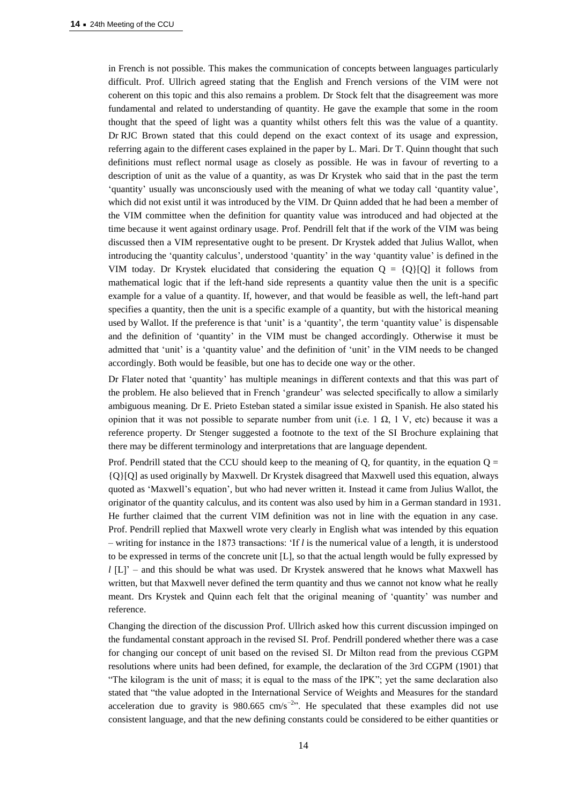in French is not possible. This makes the communication of concepts between languages particularly difficult. Prof. Ullrich agreed stating that the English and French versions of the VIM were not coherent on this topic and this also remains a problem. Dr Stock felt that the disagreement was more fundamental and related to understanding of quantity. He gave the example that some in the room thought that the speed of light was a quantity whilst others felt this was the value of a quantity. Dr RJC Brown stated that this could depend on the exact context of its usage and expression, referring again to the different cases explained in the paper by L. Mari. Dr T. Quinn thought that such definitions must reflect normal usage as closely as possible. He was in favour of reverting to a description of unit as the value of a quantity, as was Dr Krystek who said that in the past the term 'quantity' usually was unconsciously used with the meaning of what we today call 'quantity value', which did not exist until it was introduced by the VIM. Dr Quinn added that he had been a member of the VIM committee when the definition for quantity value was introduced and had objected at the time because it went against ordinary usage. Prof. Pendrill felt that if the work of the VIM was being discussed then a VIM representative ought to be present. Dr Krystek added that Julius Wallot, when introducing the 'quantity calculus', understood 'quantity' in the way 'quantity value' is defined in the VIM today. Dr Krystek elucidated that considering the equation  $Q = \{Q\} [Q]$  it follows from mathematical logic that if the left-hand side represents a quantity value then the unit is a specific example for a value of a quantity. If, however, and that would be feasible as well, the left-hand part specifies a quantity, then the unit is a specific example of a quantity, but with the historical meaning used by Wallot. If the preference is that 'unit' is a 'quantity', the term 'quantity value' is dispensable and the definition of 'quantity' in the VIM must be changed accordingly. Otherwise it must be admitted that 'unit' is a 'quantity value' and the definition of 'unit' in the VIM needs to be changed accordingly. Both would be feasible, but one has to decide one way or the other.

Dr Flater noted that 'quantity' has multiple meanings in different contexts and that this was part of the problem. He also believed that in French 'grandeur' was selected specifically to allow a similarly ambiguous meaning. Dr E. Prieto Esteban stated a similar issue existed in Spanish. He also stated his opinion that it was not possible to separate number from unit (i.e. 1  $\Omega$ , 1 V, etc) because it was a reference property. Dr Stenger suggested a footnote to the text of the SI Brochure explaining that there may be different terminology and interpretations that are language dependent.

Prof. Pendrill stated that the CCU should keep to the meaning of Q, for quantity, in the equation  $Q =$ {Q}[Q] as used originally by Maxwell. Dr Krystek disagreed that Maxwell used this equation, always quoted as 'Maxwell's equation', but who had never written it. Instead it came from Julius Wallot, the originator of the quantity calculus, and its content was also used by him in a German standard in 1931. He further claimed that the current VIM definition was not in line with the equation in any case. Prof. Pendrill replied that Maxwell wrote very clearly in English what was intended by this equation – writing for instance in the 1873 transactions: 'If *l* is the numerical value of a length, it is understood to be expressed in terms of the concrete unit [L], so that the actual length would be fully expressed by *l* [L]' – and this should be what was used. Dr Krystek answered that he knows what Maxwell has written, but that Maxwell never defined the term quantity and thus we cannot not know what he really meant. Drs Krystek and Quinn each felt that the original meaning of 'quantity' was number and reference.

Changing the direction of the discussion Prof. Ullrich asked how this current discussion impinged on the fundamental constant approach in the revised SI. Prof. Pendrill pondered whether there was a case for changing our concept of unit based on the revised SI. Dr Milton read from the previous CGPM resolutions where units had been defined, for example, the declaration of the 3rd CGPM (1901) that "The kilogram is the unit of mass; it is equal to the mass of the IPK"; yet the same declaration also stated that "the value adopted in the International Service of Weights and Measures for the standard acceleration due to gravity is  $980.665$  cm/s<sup>-2</sup>". He speculated that these examples did not use consistent language, and that the new defining constants could be considered to be either quantities or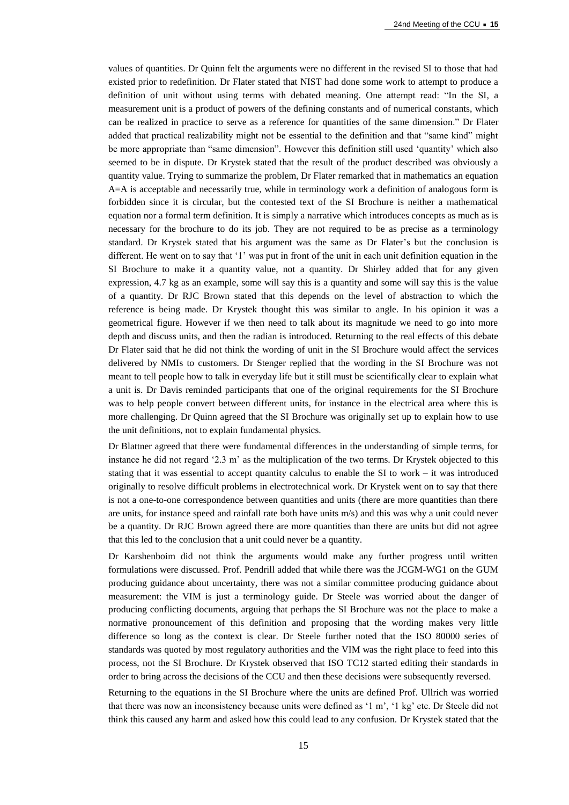values of quantities. Dr Quinn felt the arguments were no different in the revised SI to those that had existed prior to redefinition. Dr Flater stated that NIST had done some work to attempt to produce a definition of unit without using terms with debated meaning. One attempt read: "In the SI, a measurement unit is a product of powers of the defining constants and of numerical constants, which can be realized in practice to serve as a reference for quantities of the same dimension." Dr Flater added that practical realizability might not be essential to the definition and that "same kind" might be more appropriate than "same dimension". However this definition still used 'quantity' which also seemed to be in dispute. Dr Krystek stated that the result of the product described was obviously a quantity value. Trying to summarize the problem, Dr Flater remarked that in mathematics an equation A=A is acceptable and necessarily true, while in terminology work a definition of analogous form is forbidden since it is circular, but the contested text of the SI Brochure is neither a mathematical equation nor a formal term definition. It is simply a narrative which introduces concepts as much as is necessary for the brochure to do its job. They are not required to be as precise as a terminology standard. Dr Krystek stated that his argument was the same as Dr Flater's but the conclusion is different. He went on to say that '1' was put in front of the unit in each unit definition equation in the SI Brochure to make it a quantity value, not a quantity. Dr Shirley added that for any given expression, 4.7 kg as an example, some will say this is a quantity and some will say this is the value of a quantity. Dr RJC Brown stated that this depends on the level of abstraction to which the reference is being made. Dr Krystek thought this was similar to angle. In his opinion it was a geometrical figure. However if we then need to talk about its magnitude we need to go into more depth and discuss units, and then the radian is introduced. Returning to the real effects of this debate Dr Flater said that he did not think the wording of unit in the SI Brochure would affect the services delivered by NMIs to customers. Dr Stenger replied that the wording in the SI Brochure was not meant to tell people how to talk in everyday life but it still must be scientifically clear to explain what a unit is. Dr Davis reminded participants that one of the original requirements for the SI Brochure was to help people convert between different units, for instance in the electrical area where this is more challenging. Dr Quinn agreed that the SI Brochure was originally set up to explain how to use the unit definitions, not to explain fundamental physics.

Dr Blattner agreed that there were fundamental differences in the understanding of simple terms, for instance he did not regard '2.3 m' as the multiplication of the two terms. Dr Krystek objected to this stating that it was essential to accept quantity calculus to enable the SI to work – it was introduced originally to resolve difficult problems in electrotechnical work. Dr Krystek went on to say that there is not a one-to-one correspondence between quantities and units (there are more quantities than there are units, for instance speed and rainfall rate both have units m/s) and this was why a unit could never be a quantity. Dr RJC Brown agreed there are more quantities than there are units but did not agree that this led to the conclusion that a unit could never be a quantity.

Dr Karshenboim did not think the arguments would make any further progress until written formulations were discussed. Prof. Pendrill added that while there was the JCGM-WG1 on the GUM producing guidance about uncertainty, there was not a similar committee producing guidance about measurement: the VIM is just a terminology guide. Dr Steele was worried about the danger of producing conflicting documents, arguing that perhaps the SI Brochure was not the place to make a normative pronouncement of this definition and proposing that the wording makes very little difference so long as the context is clear. Dr Steele further noted that the ISO 80000 series of standards was quoted by most regulatory authorities and the VIM was the right place to feed into this process, not the SI Brochure. Dr Krystek observed that ISO TC12 started editing their standards in order to bring across the decisions of the CCU and then these decisions were subsequently reversed.

Returning to the equations in the SI Brochure where the units are defined Prof. Ullrich was worried that there was now an inconsistency because units were defined as '1 m', '1 kg' etc. Dr Steele did not think this caused any harm and asked how this could lead to any confusion. Dr Krystek stated that the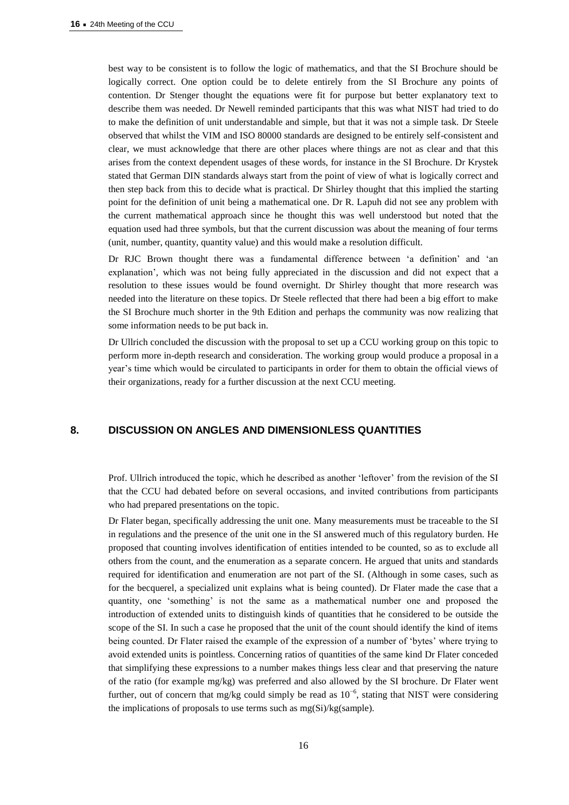best way to be consistent is to follow the logic of mathematics, and that the SI Brochure should be logically correct. One option could be to delete entirely from the SI Brochure any points of contention. Dr Stenger thought the equations were fit for purpose but better explanatory text to describe them was needed. Dr Newell reminded participants that this was what NIST had tried to do to make the definition of unit understandable and simple, but that it was not a simple task. Dr Steele observed that whilst the VIM and ISO 80000 standards are designed to be entirely self-consistent and clear, we must acknowledge that there are other places where things are not as clear and that this arises from the context dependent usages of these words, for instance in the SI Brochure. Dr Krystek stated that German DIN standards always start from the point of view of what is logically correct and then step back from this to decide what is practical. Dr Shirley thought that this implied the starting point for the definition of unit being a mathematical one. Dr R. Lapuh did not see any problem with the current mathematical approach since he thought this was well understood but noted that the equation used had three symbols, but that the current discussion was about the meaning of four terms (unit, number, quantity, quantity value) and this would make a resolution difficult.

Dr RJC Brown thought there was a fundamental difference between 'a definition' and 'an explanation', which was not being fully appreciated in the discussion and did not expect that a resolution to these issues would be found overnight. Dr Shirley thought that more research was needed into the literature on these topics. Dr Steele reflected that there had been a big effort to make the SI Brochure much shorter in the 9th Edition and perhaps the community was now realizing that some information needs to be put back in.

Dr Ullrich concluded the discussion with the proposal to set up a CCU working group on this topic to perform more in-depth research and consideration. The working group would produce a proposal in a year's time which would be circulated to participants in order for them to obtain the official views of their organizations, ready for a further discussion at the next CCU meeting.

# **8. DISCUSSION ON ANGLES AND DIMENSIONLESS QUANTITIES**

Prof. Ullrich introduced the topic, which he described as another 'leftover' from the revision of the SI that the CCU had debated before on several occasions, and invited contributions from participants who had prepared presentations on the topic.

Dr Flater began, specifically addressing the unit one. Many measurements must be traceable to the SI in regulations and the presence of the unit one in the SI answered much of this regulatory burden. He proposed that counting involves identification of entities intended to be counted, so as to exclude all others from the count, and the enumeration as a separate concern. He argued that units and standards required for identification and enumeration are not part of the SI. (Although in some cases, such as for the becquerel, a specialized unit explains what is being counted). Dr Flater made the case that a quantity, one 'something' is not the same as a mathematical number one and proposed the introduction of extended units to distinguish kinds of quantities that he considered to be outside the scope of the SI. In such a case he proposed that the unit of the count should identify the kind of items being counted. Dr Flater raised the example of the expression of a number of 'bytes' where trying to avoid extended units is pointless. Concerning ratios of quantities of the same kind Dr Flater conceded that simplifying these expressions to a number makes things less clear and that preserving the nature of the ratio (for example mg/kg) was preferred and also allowed by the SI brochure. Dr Flater went further, out of concern that mg/kg could simply be read as  $10^{-6}$ , stating that NIST were considering the implications of proposals to use terms such as mg(Si)/kg(sample).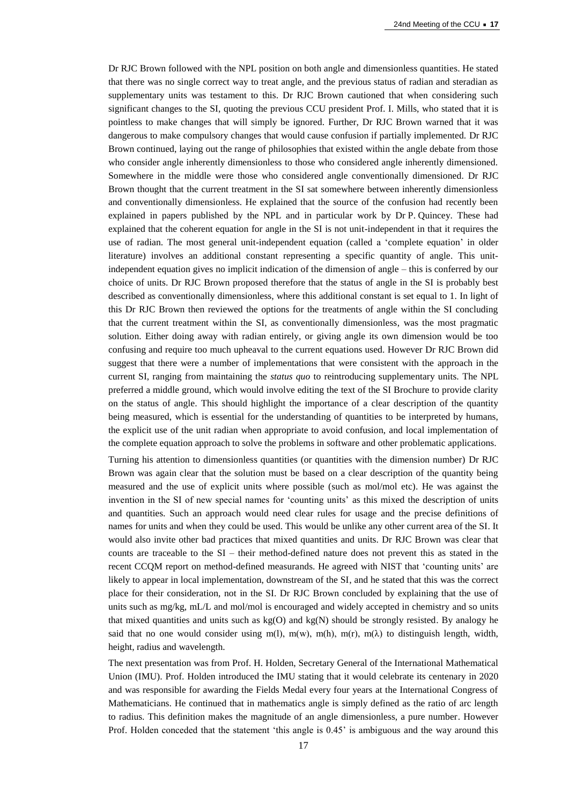Dr RJC Brown followed with the NPL position on both angle and dimensionless quantities. He stated that there was no single correct way to treat angle, and the previous status of radian and steradian as supplementary units was testament to this. Dr RJC Brown cautioned that when considering such significant changes to the SI, quoting the previous CCU president Prof. I. Mills, who stated that it is pointless to make changes that will simply be ignored. Further, Dr RJC Brown warned that it was dangerous to make compulsory changes that would cause confusion if partially implemented. Dr RJC Brown continued, laying out the range of philosophies that existed within the angle debate from those who consider angle inherently dimensionless to those who considered angle inherently dimensioned. Somewhere in the middle were those who considered angle conventionally dimensioned. Dr RJC Brown thought that the current treatment in the SI sat somewhere between inherently dimensionless and conventionally dimensionless. He explained that the source of the confusion had recently been explained in papers published by the NPL and in particular work by Dr P. Quincey. These had explained that the coherent equation for angle in the SI is not unit-independent in that it requires the use of radian. The most general unit-independent equation (called a 'complete equation' in older literature) involves an additional constant representing a specific quantity of angle. This unitindependent equation gives no implicit indication of the dimension of angle – this is conferred by our choice of units. Dr RJC Brown proposed therefore that the status of angle in the SI is probably best described as conventionally dimensionless, where this additional constant is set equal to 1. In light of this Dr RJC Brown then reviewed the options for the treatments of angle within the SI concluding that the current treatment within the SI, as conventionally dimensionless, was the most pragmatic solution. Either doing away with radian entirely, or giving angle its own dimension would be too confusing and require too much upheaval to the current equations used. However Dr RJC Brown did suggest that there were a number of implementations that were consistent with the approach in the current SI, ranging from maintaining the *status quo* to reintroducing supplementary units. The NPL preferred a middle ground, which would involve editing the text of the SI Brochure to provide clarity on the status of angle. This should highlight the importance of a clear description of the quantity being measured, which is essential for the understanding of quantities to be interpreted by humans, the explicit use of the unit radian when appropriate to avoid confusion, and local implementation of the complete equation approach to solve the problems in software and other problematic applications.

Turning his attention to dimensionless quantities (or quantities with the dimension number) Dr RJC Brown was again clear that the solution must be based on a clear description of the quantity being measured and the use of explicit units where possible (such as mol/mol etc). He was against the invention in the SI of new special names for 'counting units' as this mixed the description of units and quantities. Such an approach would need clear rules for usage and the precise definitions of names for units and when they could be used. This would be unlike any other current area of the SI. It would also invite other bad practices that mixed quantities and units. Dr RJC Brown was clear that counts are traceable to the SI – their method-defined nature does not prevent this as stated in the recent CCQM report on method-defined measurands. He agreed with NIST that 'counting units' are likely to appear in local implementation, downstream of the SI, and he stated that this was the correct place for their consideration, not in the SI. Dr RJC Brown concluded by explaining that the use of units such as mg/kg, mL/L and mol/mol is encouraged and widely accepted in chemistry and so units that mixed quantities and units such as  $kg(O)$  and  $kg(N)$  should be strongly resisted. By analogy he said that no one would consider using m(l), m(w), m(h), m(r), m( $\lambda$ ) to distinguish length, width, height, radius and wavelength.

The next presentation was from Prof. H. Holden, Secretary General of the International Mathematical Union (IMU). Prof. Holden introduced the IMU stating that it would celebrate its centenary in 2020 and was responsible for awarding the Fields Medal every four years at the International Congress of Mathematicians. He continued that in mathematics angle is simply defined as the ratio of arc length to radius. This definition makes the magnitude of an angle dimensionless, a pure number. However Prof. Holden conceded that the statement 'this angle is 0.45' is ambiguous and the way around this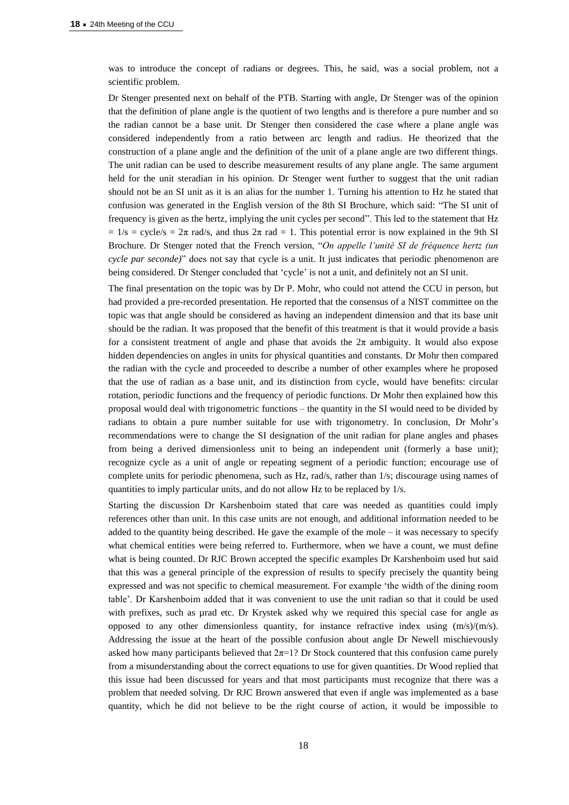was to introduce the concept of radians or degrees. This, he said, was a social problem, not a scientific problem.

Dr Stenger presented next on behalf of the PTB. Starting with angle, Dr Stenger was of the opinion that the definition of plane angle is the quotient of two lengths and is therefore a pure number and so the radian cannot be a base unit. Dr Stenger then considered the case where a plane angle was considered independently from a ratio between arc length and radius. He theorized that the construction of a plane angle and the definition of the unit of a plane angle are two different things. The unit radian can be used to describe measurement results of any plane angle. The same argument held for the unit steradian in his opinion. Dr Stenger went further to suggest that the unit radian should not be an SI unit as it is an alias for the number 1. Turning his attention to Hz he stated that confusion was generated in the English version of the 8th SI Brochure, which said: "The SI unit of frequency is given as the hertz, implying the unit cycles per second". This led to the statement that Hz  $= 1/s = cycle/s = 2\pi$  rad/s, and thus  $2\pi$  rad  $= 1$ . This potential error is now explained in the 9th SI Brochure. Dr Stenger noted that the French version, "*On appelle l'unité SI de fréquence hertz (un cycle par seconde)*" does not say that cycle is a unit. It just indicates that periodic phenomenon are being considered. Dr Stenger concluded that 'cycle' is not a unit, and definitely not an SI unit.

The final presentation on the topic was by Dr P. Mohr, who could not attend the CCU in person, but had provided a pre-recorded presentation. He reported that the consensus of a NIST committee on the topic was that angle should be considered as having an independent dimension and that its base unit should be the radian. It was proposed that the benefit of this treatment is that it would provide a basis for a consistent treatment of angle and phase that avoids the  $2\pi$  ambiguity. It would also expose hidden dependencies on angles in units for physical quantities and constants. Dr Mohr then compared the radian with the cycle and proceeded to describe a number of other examples where he proposed that the use of radian as a base unit, and its distinction from cycle, would have benefits: circular rotation, periodic functions and the frequency of periodic functions. Dr Mohr then explained how this proposal would deal with trigonometric functions – the quantity in the SI would need to be divided by radians to obtain a pure number suitable for use with trigonometry. In conclusion, Dr Mohr's recommendations were to change the SI designation of the unit radian for plane angles and phases from being a derived dimensionless unit to being an independent unit (formerly a base unit); recognize cycle as a unit of angle or repeating segment of a periodic function; encourage use of complete units for periodic phenomena, such as Hz, rad/s, rather than 1/s; discourage using names of quantities to imply particular units, and do not allow Hz to be replaced by 1/s.

Starting the discussion Dr Karshenboim stated that care was needed as quantities could imply references other than unit. In this case units are not enough, and additional information needed to be added to the quantity being described. He gave the example of the mole – it was necessary to specify what chemical entities were being referred to. Furthermore, when we have a count, we must define what is being counted. Dr RJC Brown accepted the specific examples Dr Karshenboim used but said that this was a general principle of the expression of results to specify precisely the quantity being expressed and was not specific to chemical measurement. For example 'the width of the dining room table'. Dr Karshenboim added that it was convenient to use the unit radian so that it could be used with prefixes, such as µrad etc. Dr Krystek asked why we required this special case for angle as opposed to any other dimensionless quantity, for instance refractive index using (m/s)/(m/s). Addressing the issue at the heart of the possible confusion about angle Dr Newell mischievously asked how many participants believed that  $2\pi=1$ ? Dr Stock countered that this confusion came purely from a misunderstanding about the correct equations to use for given quantities. Dr Wood replied that this issue had been discussed for years and that most participants must recognize that there was a problem that needed solving. Dr RJC Brown answered that even if angle was implemented as a base quantity, which he did not believe to be the right course of action, it would be impossible to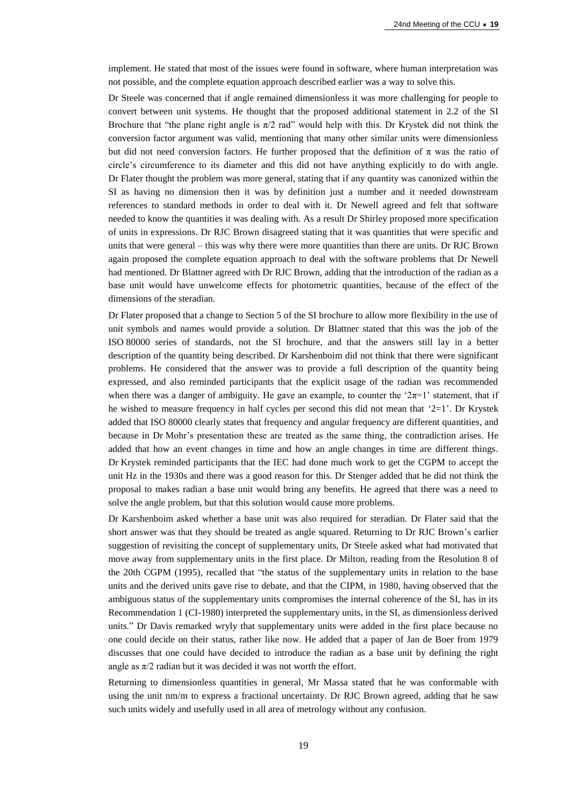implement. He stated that most of the issues were found in software, where human interpretation was not possible, and the complete equation approach described earlier was a way to solve this.

Dr Steele was concerned that if angle remained dimensionless it was more challenging for people to convert between unit systems. He thought that the proposed additional statement in 2.2 of the SI Brochure that "the plane right angle is  $\pi/2$  rad" would help with this. Dr Krystek did not think the conversion factor argument was valid, mentioning that many other similar units were dimensionless but did not need conversion factors. He further proposed that the definition of  $\pi$  was the ratio of circle's circumference to its diameter and this did not have anything explicitly to do with angle. Dr Flater thought the problem was more general, stating that if any quantity was canonized within the SI as having no dimension then it was by definition just a number and it needed downstream references to standard methods in order to deal with it. Dr Newell agreed and felt that software needed to know the quantities it was dealing with. As a result Dr Shirley proposed more specification of units in expressions. Dr RJC Brown disagreed stating that it was quantities that were specific and units that were general – this was why there were more quantities than there are units. Dr RJC Brown again proposed the complete equation approach to deal with the software problems that Dr Newell had mentioned. Dr Blattner agreed with Dr RJC Brown, adding that the introduction of the radian as a base unit would have unwelcome effects for photometric quantities, because of the effect of the dimensions of the steradian.

Dr Flater proposed that a change to Section 5 of the SI brochure to allow more flexibility in the use of unit symbols and names would provide a solution. Dr Blattner stated that this was the job of the ISO 80000 series of standards, not the SI brochure, and that the answers still lay in a better description of the quantity being described. Dr Karshenboim did not think that there were significant problems. He considered that the answer was to provide a full description of the quantity being expressed, and also reminded participants that the explicit usage of the radian was recommended when there was a danger of ambiguity. He gave an example, to counter the ' $2\pi=1$ ' statement, that if he wished to measure frequency in half cycles per second this did not mean that '2=1'. Dr Krystek added that ISO 80000 clearly states that frequency and angular frequency are different quantities, and because in Dr Mohr's presentation these are treated as the same thing, the contradiction arises. He added that how an event changes in time and how an angle changes in time are different things. Dr Krystek reminded participants that the IEC had done much work to get the CGPM to accept the unit Hz in the 1930s and there was a good reason for this. Dr Stenger added that he did not think the proposal to makes radian a base unit would bring any benefits. He agreed that there was a need to solve the angle problem, but that this solution would cause more problems.

Dr Karshenboim asked whether a base unit was also required for steradian. Dr Flater said that the short answer was that they should be treated as angle squared. Returning to Dr RJC Brown's earlier suggestion of revisiting the concept of supplementary units, Dr Steele asked what had motivated that move away from supplementary units in the first place. Dr Milton, reading from the Resolution 8 of the 20th CGPM (1995), recalled that "the status of the supplementary units in relation to the base units and the derived units gave rise to debate, and that the CIPM, in 1980, having observed that the ambiguous status of the supplementary units compromises the internal coherence of the SI, has in its Recommendation 1 (CI-1980) interpreted the supplementary units, in the SI, as dimensionless derived units." Dr Davis remarked wryly that supplementary units were added in the first place because no one could decide on their status, rather like now. He added that a paper of Jan de Boer from 1979 discusses that one could have decided to introduce the radian as a base unit by defining the right angle as  $\pi/2$  radian but it was decided it was not worth the effort.

Returning to dimensionless quantities in general, Mr Massa stated that he was conformable with using the unit nm/m to express a fractional uncertainty. Dr RJC Brown agreed, adding that he saw such units widely and usefully used in all area of metrology without any confusion.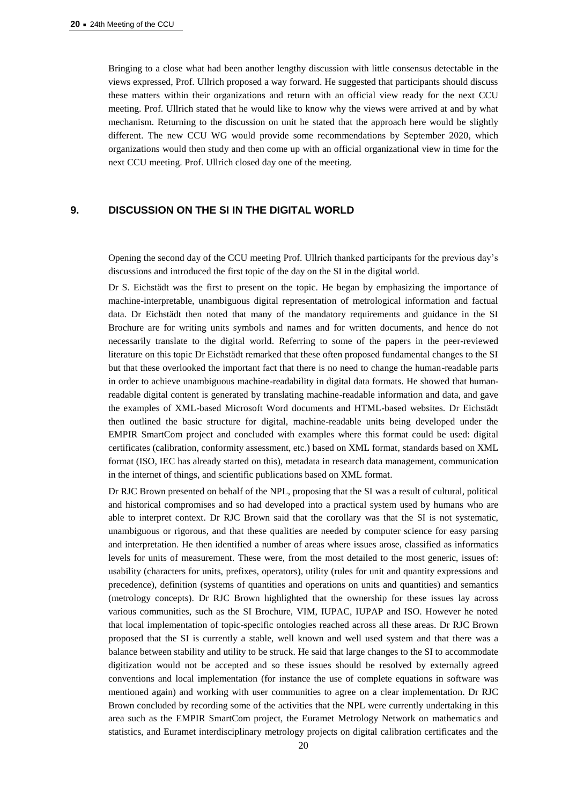Bringing to a close what had been another lengthy discussion with little consensus detectable in the views expressed, Prof. Ullrich proposed a way forward. He suggested that participants should discuss these matters within their organizations and return with an official view ready for the next CCU meeting. Prof. Ullrich stated that he would like to know why the views were arrived at and by what mechanism. Returning to the discussion on unit he stated that the approach here would be slightly different. The new CCU WG would provide some recommendations by September 2020, which organizations would then study and then come up with an official organizational view in time for the next CCU meeting. Prof. Ullrich closed day one of the meeting.

## **9. DISCUSSION ON THE SI IN THE DIGITAL WORLD**

Opening the second day of the CCU meeting Prof. Ullrich thanked participants for the previous day's discussions and introduced the first topic of the day on the SI in the digital world.

Dr S. Eichstädt was the first to present on the topic. He began by emphasizing the importance of machine-interpretable, unambiguous digital representation of metrological information and factual data. Dr Eichstädt then noted that many of the mandatory requirements and guidance in the SI Brochure are for writing units symbols and names and for written documents, and hence do not necessarily translate to the digital world. Referring to some of the papers in the peer-reviewed literature on this topic Dr Eichstädt remarked that these often proposed fundamental changes to the SI but that these overlooked the important fact that there is no need to change the human-readable parts in order to achieve unambiguous machine-readability in digital data formats. He showed that humanreadable digital content is generated by translating machine-readable information and data, and gave the examples of XML-based Microsoft Word documents and HTML-based websites. Dr Eichstädt then outlined the basic structure for digital, machine-readable units being developed under the EMPIR SmartCom project and concluded with examples where this format could be used: digital certificates (calibration, conformity assessment, etc.) based on XML format, standards based on XML format (ISO, IEC has already started on this), metadata in research data management, communication in the internet of things, and scientific publications based on XML format.

Dr RJC Brown presented on behalf of the NPL, proposing that the SI was a result of cultural, political and historical compromises and so had developed into a practical system used by humans who are able to interpret context. Dr RJC Brown said that the corollary was that the SI is not systematic, unambiguous or rigorous, and that these qualities are needed by computer science for easy parsing and interpretation. He then identified a number of areas where issues arose, classified as informatics levels for units of measurement. These were, from the most detailed to the most generic, issues of: usability (characters for units, prefixes, operators), utility (rules for unit and quantity expressions and precedence), definition (systems of quantities and operations on units and quantities) and semantics (metrology concepts). Dr RJC Brown highlighted that the ownership for these issues lay across various communities, such as the SI Brochure, VIM, IUPAC, IUPAP and ISO. However he noted that local implementation of topic-specific ontologies reached across all these areas. Dr RJC Brown proposed that the SI is currently a stable, well known and well used system and that there was a balance between stability and utility to be struck. He said that large changes to the SI to accommodate digitization would not be accepted and so these issues should be resolved by externally agreed conventions and local implementation (for instance the use of complete equations in software was mentioned again) and working with user communities to agree on a clear implementation. Dr RJC Brown concluded by recording some of the activities that the NPL were currently undertaking in this area such as the EMPIR SmartCom project, the Euramet Metrology Network on mathematics and statistics, and Euramet interdisciplinary metrology projects on digital calibration certificates and the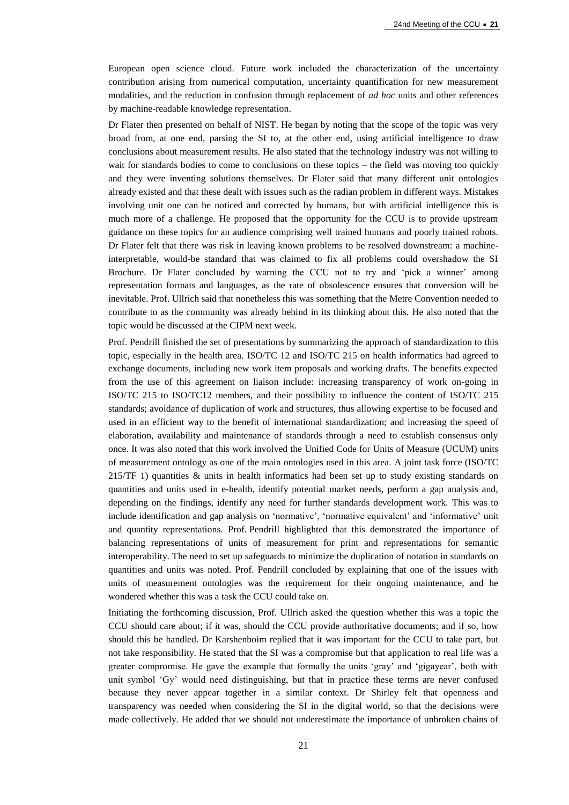European open science cloud. Future work included the characterization of the uncertainty contribution arising from numerical computation, uncertainty quantification for new measurement modalities, and the reduction in confusion through replacement of *ad hoc* units and other references by machine-readable knowledge representation.

Dr Flater then presented on behalf of NIST. He began by noting that the scope of the topic was very broad from, at one end, parsing the SI to, at the other end, using artificial intelligence to draw conclusions about measurement results. He also stated that the technology industry was not willing to wait for standards bodies to come to conclusions on these topics – the field was moving too quickly and they were inventing solutions themselves. Dr Flater said that many different unit ontologies already existed and that these dealt with issues such as the radian problem in different ways. Mistakes involving unit one can be noticed and corrected by humans, but with artificial intelligence this is much more of a challenge. He proposed that the opportunity for the CCU is to provide upstream guidance on these topics for an audience comprising well trained humans and poorly trained robots. Dr Flater felt that there was risk in leaving known problems to be resolved downstream: a machineinterpretable, would-be standard that was claimed to fix all problems could overshadow the SI Brochure. Dr Flater concluded by warning the CCU not to try and 'pick a winner' among representation formats and languages, as the rate of obsolescence ensures that conversion will be inevitable. Prof. Ullrich said that nonetheless this was something that the Metre Convention needed to contribute to as the community was already behind in its thinking about this. He also noted that the topic would be discussed at the CIPM next week.

Prof. Pendrill finished the set of presentations by summarizing the approach of standardization to this topic, especially in the health area. ISO/TC 12 and ISO/TC 215 on health informatics had agreed to exchange documents, including new work item proposals and working drafts. The benefits expected from the use of this agreement on liaison include: increasing transparency of work on-going in ISO/TC 215 to ISO/TC12 members, and their possibility to influence the content of ISO/TC 215 standards; avoidance of duplication of work and structures, thus allowing expertise to be focused and used in an efficient way to the benefit of international standardization; and increasing the speed of elaboration, availability and maintenance of standards through a need to establish consensus only once. It was also noted that this work involved the Unified Code for Units of Measure (UCUM) units of measurement ontology as one of the main ontologies used in this area. A joint task force (ISO/TC  $215/TF$  1) quantities  $\&$  units in health informatics had been set up to study existing standards on quantities and units used in e-health, identify potential market needs, perform a gap analysis and, depending on the findings, identify any need for further standards development work. This was to include identification and gap analysis on 'normative', 'normative equivalent' and 'informative' unit and quantity representations. Prof. Pendrill highlighted that this demonstrated the importance of balancing representations of units of measurement for print and representations for semantic interoperability. The need to set up safeguards to minimize the duplication of notation in standards on quantities and units was noted. Prof. Pendrill concluded by explaining that one of the issues with units of measurement ontologies was the requirement for their ongoing maintenance, and he wondered whether this was a task the CCU could take on.

Initiating the forthcoming discussion, Prof. Ullrich asked the question whether this was a topic the CCU should care about; if it was, should the CCU provide authoritative documents; and if so, how should this be handled. Dr Karshenboim replied that it was important for the CCU to take part, but not take responsibility. He stated that the SI was a compromise but that application to real life was a greater compromise. He gave the example that formally the units 'gray' and 'gigayear', both with unit symbol 'Gy' would need distinguishing, but that in practice these terms are never confused because they never appear together in a similar context. Dr Shirley felt that openness and transparency was needed when considering the SI in the digital world, so that the decisions were made collectively. He added that we should not underestimate the importance of unbroken chains of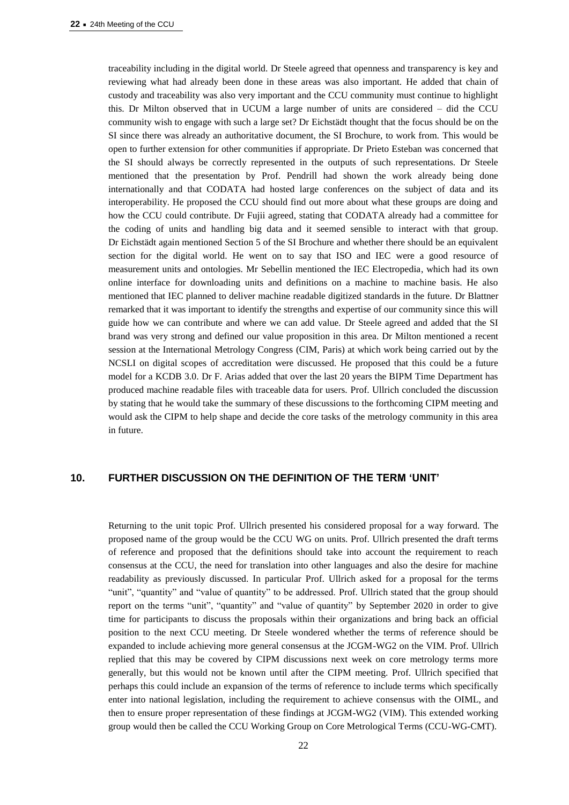traceability including in the digital world. Dr Steele agreed that openness and transparency is key and reviewing what had already been done in these areas was also important. He added that chain of custody and traceability was also very important and the CCU community must continue to highlight this. Dr Milton observed that in UCUM a large number of units are considered – did the CCU community wish to engage with such a large set? Dr Eichstädt thought that the focus should be on the SI since there was already an authoritative document, the SI Brochure, to work from. This would be open to further extension for other communities if appropriate. Dr Prieto Esteban was concerned that the SI should always be correctly represented in the outputs of such representations. Dr Steele mentioned that the presentation by Prof. Pendrill had shown the work already being done internationally and that CODATA had hosted large conferences on the subject of data and its interoperability. He proposed the CCU should find out more about what these groups are doing and how the CCU could contribute. Dr Fujii agreed, stating that CODATA already had a committee for the coding of units and handling big data and it seemed sensible to interact with that group. Dr Eichstädt again mentioned Section 5 of the SI Brochure and whether there should be an equivalent section for the digital world. He went on to say that ISO and IEC were a good resource of measurement units and ontologies. Mr Sebellin mentioned the IEC Electropedia, which had its own online interface for downloading units and definitions on a machine to machine basis. He also mentioned that IEC planned to deliver machine readable digitized standards in the future. Dr Blattner remarked that it was important to identify the strengths and expertise of our community since this will guide how we can contribute and where we can add value. Dr Steele agreed and added that the SI brand was very strong and defined our value proposition in this area. Dr Milton mentioned a recent session at the International Metrology Congress (CIM, Paris) at which work being carried out by the NCSLI on digital scopes of accreditation were discussed. He proposed that this could be a future model for a KCDB 3.0. Dr F. Arias added that over the last 20 years the BIPM Time Department has produced machine readable files with traceable data for users. Prof. Ullrich concluded the discussion by stating that he would take the summary of these discussions to the forthcoming CIPM meeting and would ask the CIPM to help shape and decide the core tasks of the metrology community in this area in future.

## **10. FURTHER DISCUSSION ON THE DEFINITION OF THE TERM 'UNIT'**

Returning to the unit topic Prof. Ullrich presented his considered proposal for a way forward. The proposed name of the group would be the CCU WG on units. Prof. Ullrich presented the draft terms of reference and proposed that the definitions should take into account the requirement to reach consensus at the CCU, the need for translation into other languages and also the desire for machine readability as previously discussed. In particular Prof. Ullrich asked for a proposal for the terms "unit", "quantity" and "value of quantity" to be addressed. Prof. Ullrich stated that the group should report on the terms "unit", "quantity" and "value of quantity" by September 2020 in order to give time for participants to discuss the proposals within their organizations and bring back an official position to the next CCU meeting. Dr Steele wondered whether the terms of reference should be expanded to include achieving more general consensus at the JCGM-WG2 on the VIM. Prof. Ullrich replied that this may be covered by CIPM discussions next week on core metrology terms more generally, but this would not be known until after the CIPM meeting. Prof. Ullrich specified that perhaps this could include an expansion of the terms of reference to include terms which specifically enter into national legislation, including the requirement to achieve consensus with the OIML, and then to ensure proper representation of these findings at JCGM-WG2 (VIM). This extended working group would then be called the CCU Working Group on Core Metrological Terms (CCU-WG-CMT).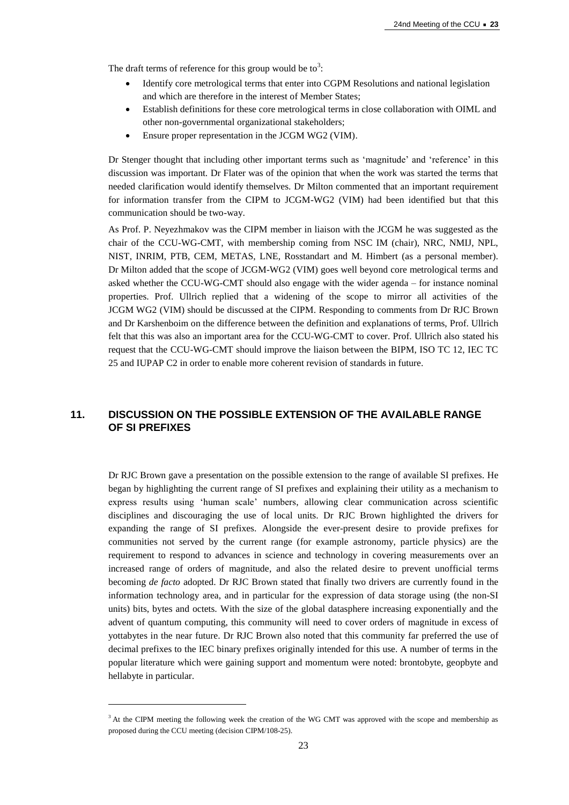The draft terms of reference for this group would be to<sup>3</sup>:

- Identify core metrological terms that enter into CGPM Resolutions and national legislation and which are therefore in the interest of Member States;
- Establish definitions for these core metrological terms in close collaboration with OIML and other non-governmental organizational stakeholders;
- Ensure proper representation in the JCGM WG2 (VIM).

Dr Stenger thought that including other important terms such as 'magnitude' and 'reference' in this discussion was important. Dr Flater was of the opinion that when the work was started the terms that needed clarification would identify themselves. Dr Milton commented that an important requirement for information transfer from the CIPM to JCGM-WG2 (VIM) had been identified but that this communication should be two-way.

As Prof. P. Neyezhmakov was the CIPM member in liaison with the JCGM he was suggested as the chair of the CCU-WG-CMT, with membership coming from NSC IM (chair), NRC, NMIJ, NPL, NIST, INRIM, PTB, CEM, METAS, LNE, Rosstandart and M. Himbert (as a personal member). Dr Milton added that the scope of JCGM-WG2 (VIM) goes well beyond core metrological terms and asked whether the CCU-WG-CMT should also engage with the wider agenda – for instance nominal properties. Prof. Ullrich replied that a widening of the scope to mirror all activities of the JCGM WG2 (VIM) should be discussed at the CIPM. Responding to comments from Dr RJC Brown and Dr Karshenboim on the difference between the definition and explanations of terms, Prof. Ullrich felt that this was also an important area for the CCU-WG-CMT to cover. Prof. Ullrich also stated his request that the CCU-WG-CMT should improve the liaison between the BIPM, ISO TC 12, IEC TC 25 and IUPAP C2 in order to enable more coherent revision of standards in future.

# **11. DISCUSSION ON THE POSSIBLE EXTENSION OF THE AVAILABLE RANGE OF SI PREFIXES**

Dr RJC Brown gave a presentation on the possible extension to the range of available SI prefixes. He began by highlighting the current range of SI prefixes and explaining their utility as a mechanism to express results using 'human scale' numbers, allowing clear communication across scientific disciplines and discouraging the use of local units. Dr RJC Brown highlighted the drivers for expanding the range of SI prefixes. Alongside the ever-present desire to provide prefixes for communities not served by the current range (for example astronomy, particle physics) are the requirement to respond to advances in science and technology in covering measurements over an increased range of orders of magnitude, and also the related desire to prevent unofficial terms becoming *de facto* adopted. Dr RJC Brown stated that finally two drivers are currently found in the information technology area, and in particular for the expression of data storage using (the non-SI units) bits, bytes and octets. With the size of the global datasphere increasing exponentially and the advent of quantum computing, this community will need to cover orders of magnitude in excess of yottabytes in the near future. Dr RJC Brown also noted that this community far preferred the use of decimal prefixes to the IEC binary prefixes originally intended for this use. A number of terms in the popular literature which were gaining support and momentum were noted: brontobyte, geopbyte and hellabyte in particular.

 $\overline{a}$ 

<sup>&</sup>lt;sup>3</sup> At the CIPM meeting the following week the creation of the WG CMT was approved with the scope and membership as proposed during the CCU meeting (decision CIPM/108-25).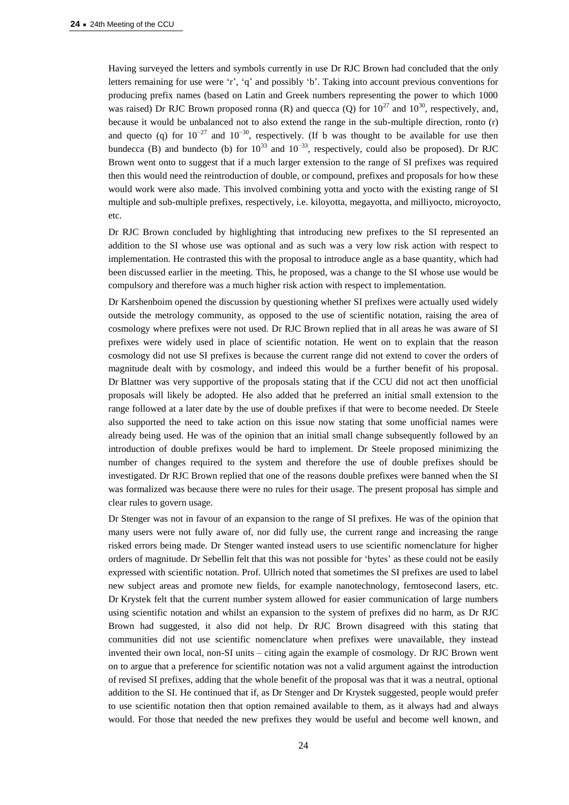Having surveyed the letters and symbols currently in use Dr RJC Brown had concluded that the only letters remaining for use were 'r', 'q' and possibly 'b'. Taking into account previous conventions for producing prefix names (based on Latin and Greek numbers representing the power to which 1000 was raised) Dr RJC Brown proposed ronna (R) and quecca (Q) for  $10^{27}$  and  $10^{30}$ , respectively, and, because it would be unbalanced not to also extend the range in the sub-multiple direction, ronto (r) and quecto (q) for  $10^{-27}$  and  $10^{-30}$ , respectively. (If b was thought to be available for use then bundecca (B) and bundecto (b) for  $10^{33}$  and  $10^{-33}$ , respectively, could also be proposed). Dr RJC Brown went onto to suggest that if a much larger extension to the range of SI prefixes was required then this would need the reintroduction of double, or compound, prefixes and proposals for how these would work were also made. This involved combining yotta and yocto with the existing range of SI multiple and sub-multiple prefixes, respectively, i.e. kiloyotta, megayotta, and milliyocto, microyocto, etc.

Dr RJC Brown concluded by highlighting that introducing new prefixes to the SI represented an addition to the SI whose use was optional and as such was a very low risk action with respect to implementation. He contrasted this with the proposal to introduce angle as a base quantity, which had been discussed earlier in the meeting. This, he proposed, was a change to the SI whose use would be compulsory and therefore was a much higher risk action with respect to implementation.

Dr Karshenboim opened the discussion by questioning whether SI prefixes were actually used widely outside the metrology community, as opposed to the use of scientific notation, raising the area of cosmology where prefixes were not used. Dr RJC Brown replied that in all areas he was aware of SI prefixes were widely used in place of scientific notation. He went on to explain that the reason cosmology did not use SI prefixes is because the current range did not extend to cover the orders of magnitude dealt with by cosmology, and indeed this would be a further benefit of his proposal. Dr Blattner was very supportive of the proposals stating that if the CCU did not act then unofficial proposals will likely be adopted. He also added that he preferred an initial small extension to the range followed at a later date by the use of double prefixes if that were to become needed. Dr Steele also supported the need to take action on this issue now stating that some unofficial names were already being used. He was of the opinion that an initial small change subsequently followed by an introduction of double prefixes would be hard to implement. Dr Steele proposed minimizing the number of changes required to the system and therefore the use of double prefixes should be investigated. Dr RJC Brown replied that one of the reasons double prefixes were banned when the SI was formalized was because there were no rules for their usage. The present proposal has simple and clear rules to govern usage.

Dr Stenger was not in favour of an expansion to the range of SI prefixes. He was of the opinion that many users were not fully aware of, nor did fully use, the current range and increasing the range risked errors being made. Dr Stenger wanted instead users to use scientific nomenclature for higher orders of magnitude. Dr Sebellin felt that this was not possible for 'bytes' as these could not be easily expressed with scientific notation. Prof. Ullrich noted that sometimes the SI prefixes are used to label new subject areas and promote new fields, for example nanotechnology, femtosecond lasers, etc. Dr Krystek felt that the current number system allowed for easier communication of large numbers using scientific notation and whilst an expansion to the system of prefixes did no harm, as Dr RJC Brown had suggested, it also did not help. Dr RJC Brown disagreed with this stating that communities did not use scientific nomenclature when prefixes were unavailable, they instead invented their own local, non-SI units – citing again the example of cosmology. Dr RJC Brown went on to argue that a preference for scientific notation was not a valid argument against the introduction of revised SI prefixes, adding that the whole benefit of the proposal was that it was a neutral, optional addition to the SI. He continued that if, as Dr Stenger and Dr Krystek suggested, people would prefer to use scientific notation then that option remained available to them, as it always had and always would. For those that needed the new prefixes they would be useful and become well known, and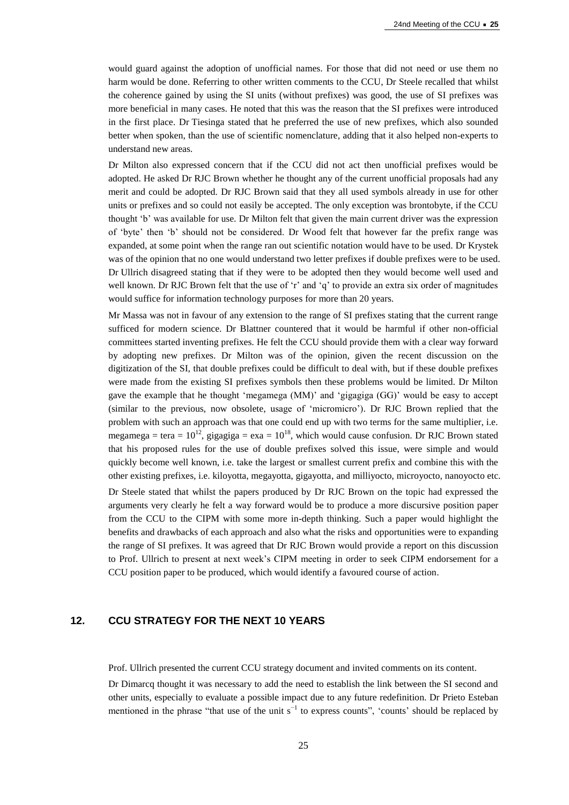would guard against the adoption of unofficial names. For those that did not need or use them no harm would be done. Referring to other written comments to the CCU, Dr Steele recalled that whilst the coherence gained by using the SI units (without prefixes) was good, the use of SI prefixes was more beneficial in many cases. He noted that this was the reason that the SI prefixes were introduced in the first place. Dr Tiesinga stated that he preferred the use of new prefixes, which also sounded better when spoken, than the use of scientific nomenclature, adding that it also helped non-experts to understand new areas.

Dr Milton also expressed concern that if the CCU did not act then unofficial prefixes would be adopted. He asked Dr RJC Brown whether he thought any of the current unofficial proposals had any merit and could be adopted. Dr RJC Brown said that they all used symbols already in use for other units or prefixes and so could not easily be accepted. The only exception was brontobyte, if the CCU thought 'b' was available for use. Dr Milton felt that given the main current driver was the expression of 'byte' then 'b' should not be considered. Dr Wood felt that however far the prefix range was expanded, at some point when the range ran out scientific notation would have to be used. Dr Krystek was of the opinion that no one would understand two letter prefixes if double prefixes were to be used. Dr Ullrich disagreed stating that if they were to be adopted then they would become well used and well known. Dr RJC Brown felt that the use of 'r' and 'q' to provide an extra six order of magnitudes would suffice for information technology purposes for more than 20 years.

Mr Massa was not in favour of any extension to the range of SI prefixes stating that the current range sufficed for modern science. Dr Blattner countered that it would be harmful if other non-official committees started inventing prefixes. He felt the CCU should provide them with a clear way forward by adopting new prefixes. Dr Milton was of the opinion, given the recent discussion on the digitization of the SI, that double prefixes could be difficult to deal with, but if these double prefixes were made from the existing SI prefixes symbols then these problems would be limited. Dr Milton gave the example that he thought 'megamega (MM)' and 'gigagiga (GG)' would be easy to accept (similar to the previous, now obsolete, usage of 'micromicro'). Dr RJC Brown replied that the problem with such an approach was that one could end up with two terms for the same multiplier, i.e. megamega = tera =  $10^{12}$ , gigagiga = exa =  $10^{18}$ , which would cause confusion. Dr RJC Brown stated that his proposed rules for the use of double prefixes solved this issue, were simple and would quickly become well known, i.e. take the largest or smallest current prefix and combine this with the other existing prefixes, i.e. kiloyotta, megayotta, gigayotta, and milliyocto, microyocto, nanoyocto etc.

Dr Steele stated that whilst the papers produced by Dr RJC Brown on the topic had expressed the arguments very clearly he felt a way forward would be to produce a more discursive position paper from the CCU to the CIPM with some more in-depth thinking. Such a paper would highlight the benefits and drawbacks of each approach and also what the risks and opportunities were to expanding the range of SI prefixes. It was agreed that Dr RJC Brown would provide a report on this discussion to Prof. Ullrich to present at next week's CIPM meeting in order to seek CIPM endorsement for a CCU position paper to be produced, which would identify a favoured course of action.

## **12. CCU STRATEGY FOR THE NEXT 10 YEARS**

Prof. Ullrich presented the current CCU strategy document and invited comments on its content.

Dr Dimarcq thought it was necessary to add the need to establish the link between the SI second and other units, especially to evaluate a possible impact due to any future redefinition. Dr Prieto Esteban mentioned in the phrase "that use of the unit  $s^{-1}$  to express counts", 'counts' should be replaced by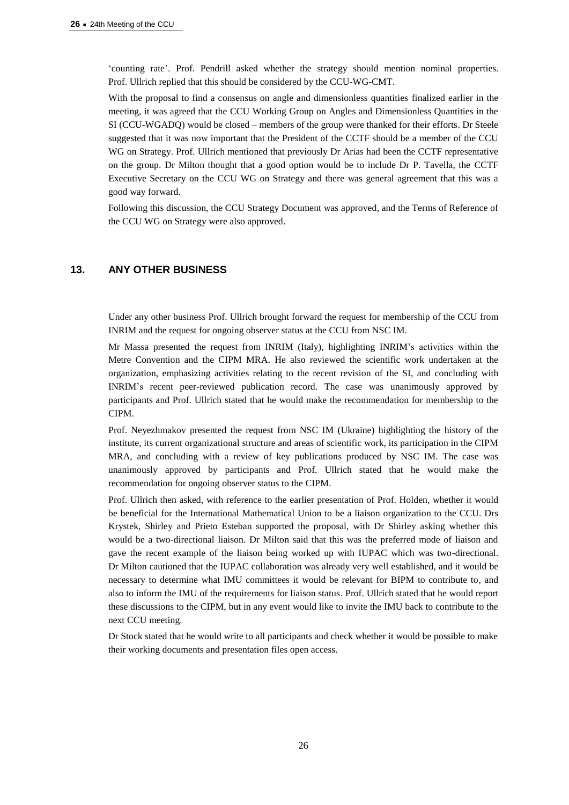'counting rate'. Prof. Pendrill asked whether the strategy should mention nominal properties. Prof. Ullrich replied that this should be considered by the CCU-WG-CMT.

With the proposal to find a consensus on angle and dimensionless quantities finalized earlier in the meeting, it was agreed that the CCU Working Group on Angles and Dimensionless Quantities in the SI (CCU-WGADQ) would be closed – members of the group were thanked for their efforts. Dr Steele suggested that it was now important that the President of the CCTF should be a member of the CCU WG on Strategy. Prof. Ullrich mentioned that previously Dr Arias had been the CCTF representative on the group. Dr Milton thought that a good option would be to include Dr P. Tavella, the CCTF Executive Secretary on the CCU WG on Strategy and there was general agreement that this was a good way forward.

Following this discussion, the CCU Strategy Document was approved, and the Terms of Reference of the CCU WG on Strategy were also approved.

# **13. ANY OTHER BUSINESS**

Under any other business Prof. Ullrich brought forward the request for membership of the CCU from INRIM and the request for ongoing observer status at the CCU from NSC IM.

Mr Massa presented the request from INRIM (Italy), highlighting INRIM's activities within the Metre Convention and the CIPM MRA. He also reviewed the scientific work undertaken at the organization, emphasizing activities relating to the recent revision of the SI, and concluding with INRIM's recent peer-reviewed publication record. The case was unanimously approved by participants and Prof. Ullrich stated that he would make the recommendation for membership to the CIPM.

Prof. Neyezhmakov presented the request from NSC IM (Ukraine) highlighting the history of the institute, its current organizational structure and areas of scientific work, its participation in the CIPM MRA, and concluding with a review of key publications produced by NSC IM. The case was unanimously approved by participants and Prof. Ullrich stated that he would make the recommendation for ongoing observer status to the CIPM.

Prof. Ullrich then asked, with reference to the earlier presentation of Prof. Holden, whether it would be beneficial for the International Mathematical Union to be a liaison organization to the CCU. Drs Krystek, Shirley and Prieto Esteban supported the proposal, with Dr Shirley asking whether this would be a two-directional liaison. Dr Milton said that this was the preferred mode of liaison and gave the recent example of the liaison being worked up with IUPAC which was two-directional. Dr Milton cautioned that the IUPAC collaboration was already very well established, and it would be necessary to determine what IMU committees it would be relevant for BIPM to contribute to, and also to inform the IMU of the requirements for liaison status. Prof. Ullrich stated that he would report these discussions to the CIPM, but in any event would like to invite the IMU back to contribute to the next CCU meeting.

Dr Stock stated that he would write to all participants and check whether it would be possible to make their working documents and presentation files open access.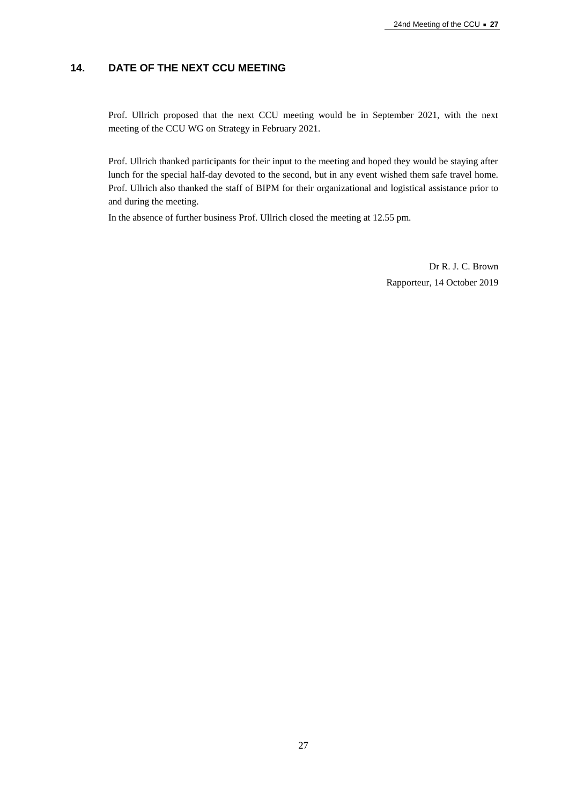# **14. DATE OF THE NEXT CCU MEETING**

Prof. Ullrich proposed that the next CCU meeting would be in September 2021, with the next meeting of the CCU WG on Strategy in February 2021.

Prof. Ullrich thanked participants for their input to the meeting and hoped they would be staying after lunch for the special half-day devoted to the second, but in any event wished them safe travel home. Prof. Ullrich also thanked the staff of BIPM for their organizational and logistical assistance prior to and during the meeting.

In the absence of further business Prof. Ullrich closed the meeting at 12.55 pm.

Dr R. J. C. Brown Rapporteur, 14 October 2019